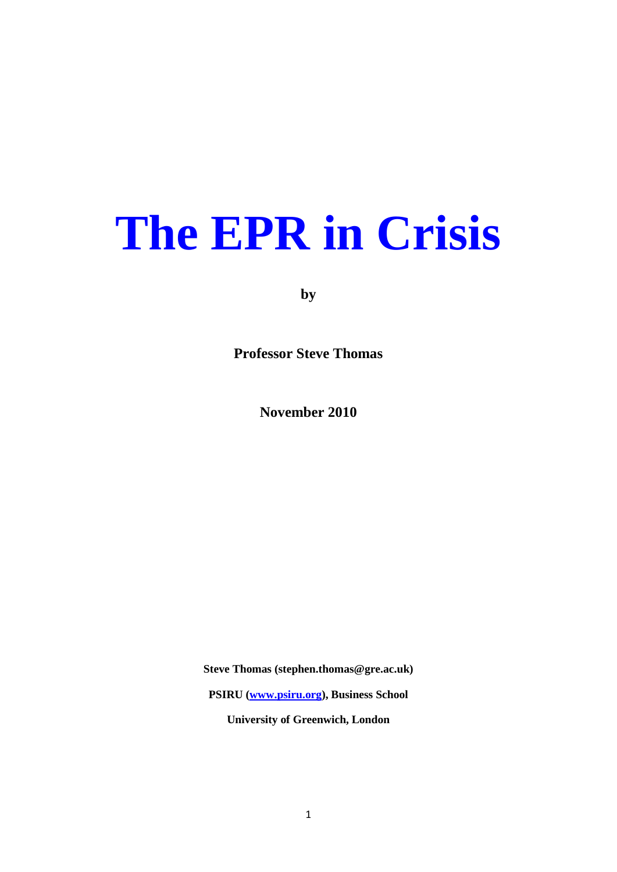# **The EPR in Crisis**

**by**

**Professor Steve Thomas**

**November 2010**

**Steve Thomas (stephen.thomas@gre.ac.uk)**

**PSIRU [\(www.psiru.org\)](http://www.psiru.org/), Business School**

**University of Greenwich, London**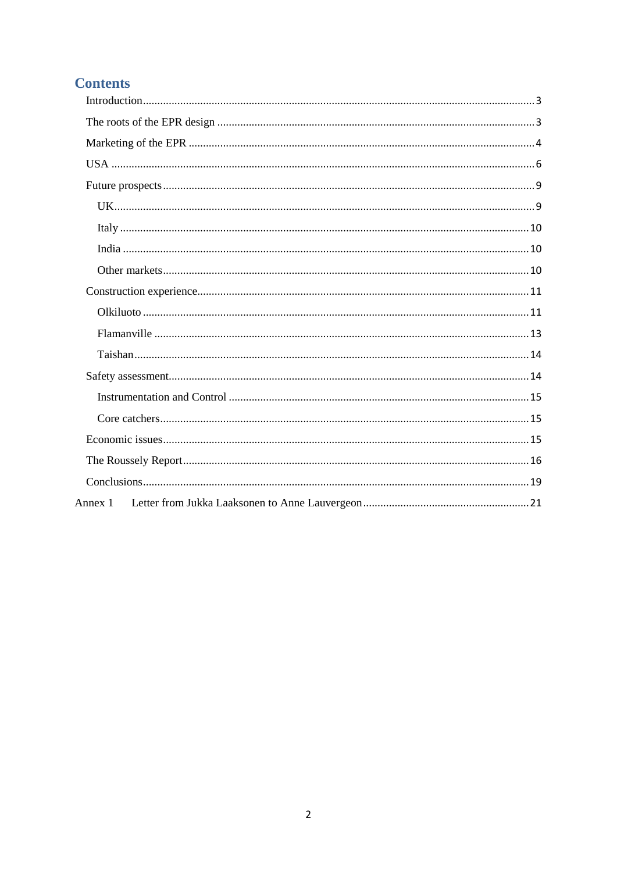# **Contents**

| Annex 1 |  |
|---------|--|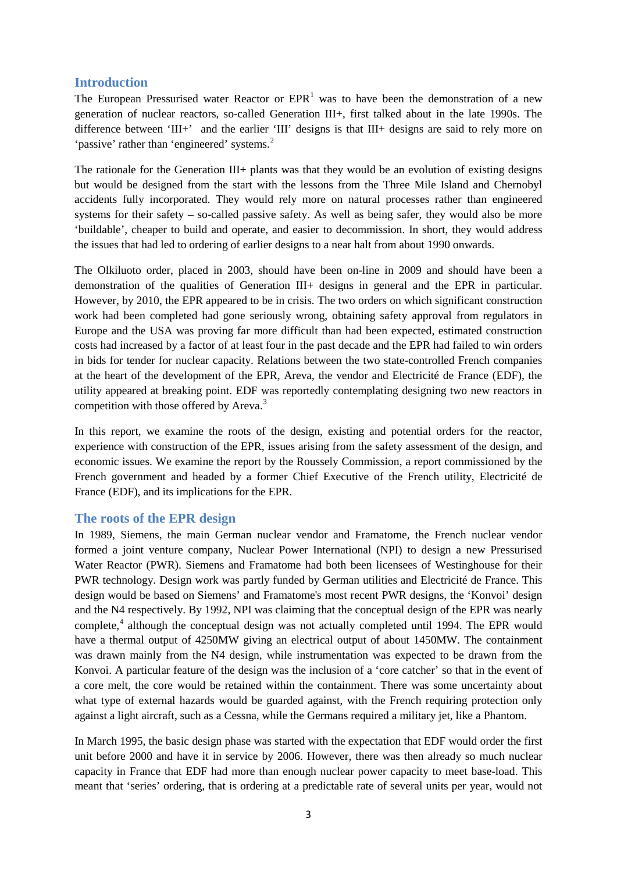## <span id="page-2-0"></span>**Introduction**

The European Pressurised water Reactor or  $EPR<sup>1</sup>$  $EPR<sup>1</sup>$  $EPR<sup>1</sup>$  was to have been the demonstration of a new generation of nuclear reactors, so-called Generation III+, first talked about in the late 1990s. The difference between 'III+' and the earlier 'III' designs is that III+ designs are said to rely more on 'passive' rather than 'engineered' systems.<sup>[2](#page-21-1)</sup>

The rationale for the Generation III+ plants was that they would be an evolution of existing designs but would be designed from the start with the lessons from the Three Mile Island and Chernobyl accidents fully incorporated. They would rely more on natural processes rather than engineered systems for their safety – so-called passive safety. As well as being safer, they would also be more 'buildable', cheaper to build and operate, and easier to decommission. In short, they would address the issues that had led to ordering of earlier designs to a near halt from about 1990 onwards.

The Olkiluoto order, placed in 2003, should have been on-line in 2009 and should have been a demonstration of the qualities of Generation III+ designs in general and the EPR in particular. However, by 2010, the EPR appeared to be in crisis. The two orders on which significant construction work had been completed had gone seriously wrong, obtaining safety approval from regulators in Europe and the USA was proving far more difficult than had been expected, estimated construction costs had increased by a factor of at least four in the past decade and the EPR had failed to win orders in bids for tender for nuclear capacity. Relations between the two state-controlled French companies at the heart of the development of the EPR, Areva, the vendor and Electricité de France (EDF), the utility appeared at breaking point. EDF was reportedly contemplating designing two new reactors in competition with those offered by Areva.<sup>[3](#page-21-2)</sup>

In this report, we examine the roots of the design, existing and potential orders for the reactor, experience with construction of the EPR, issues arising from the safety assessment of the design, and economic issues. We examine the report by the Roussely Commission, a report commissioned by the French government and headed by a former Chief Executive of the French utility, Electricité de France (EDF), and its implications for the EPR.

## <span id="page-2-1"></span>**The roots of the EPR design**

In 1989, Siemens, the main German nuclear vendor and Framatome, the French nuclear vendor formed a joint venture company, Nuclear Power International (NPI) to design a new Pressurised Water Reactor (PWR). Siemens and Framatome had both been licensees of Westinghouse for their PWR technology. Design work was partly funded by German utilities and Electricité de France. This design would be based on Siemens' and Framatome's most recent PWR designs, the 'Konvoi' design and the N4 respectively. By 1992, NPI was claiming that the conceptual design of the EPR was nearly complete,<sup>[4](#page-21-3)</sup> although the conceptual design was not actually completed until 1994. The EPR would have a thermal output of 4250MW giving an electrical output of about 1450MW. The containment was drawn mainly from the N4 design, while instrumentation was expected to be drawn from the Konvoi. A particular feature of the design was the inclusion of a 'core catcher' so that in the event of a core melt, the core would be retained within the containment. There was some uncertainty about what type of external hazards would be guarded against, with the French requiring protection only against a light aircraft, such as a Cessna, while the Germans required a military jet, like a Phantom.

In March 1995, the basic design phase was started with the expectation that EDF would order the first unit before 2000 and have it in service by 2006. However, there was then already so much nuclear capacity in France that EDF had more than enough nuclear power capacity to meet base-load. This meant that 'series' ordering, that is ordering at a predictable rate of several units per year, would not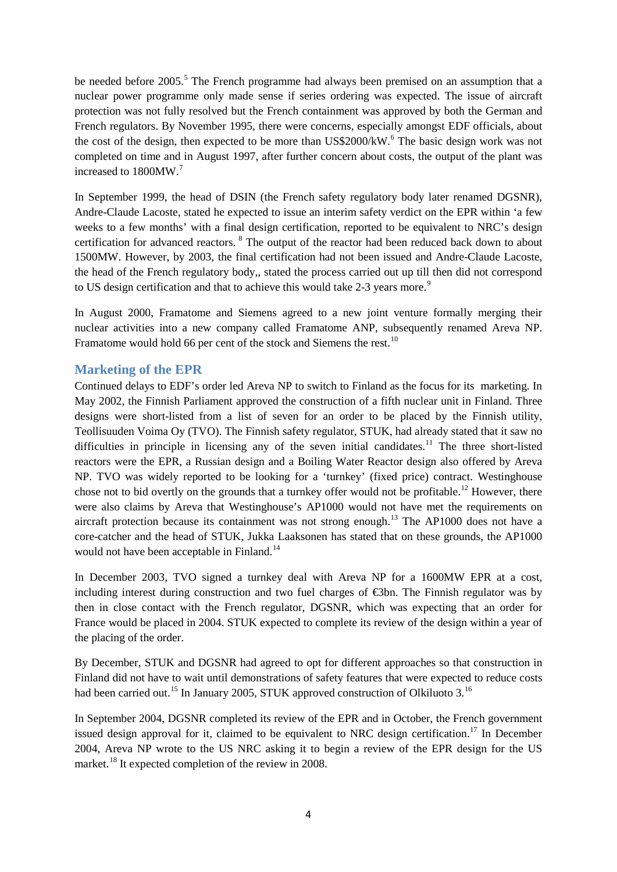be needed before  $2005$  $2005$ .<sup>5</sup> The French programme had always been premised on an assumption that a nuclear power programme only made sense if series ordering was expected. The issue of aircraft protection was not fully resolved but the French containment was approved by both the German and French regulators. By November 1995, there were concerns, especially amongst EDF officials, about the cost of the design, then expected to be more than  $\text{US$2000/kW}$ .<sup>[6](#page-21-5)</sup> The basic design work was not completed on time and in August 1997, after further concern about costs, the output of the plant was increased to 1800MW.[7](#page-21-6)

In September 1999, the head of DSIN (the French safety regulatory body later renamed DGSNR), Andre-Claude Lacoste, stated he expected to issue an interim safety verdict on the EPR within 'a few weeks to a few months' with a final design certification, reported to be equivalent to NRC's design certification for advanced reactors. [8](#page-21-7) The output of the reactor had been reduced back down to about 1500MW. However, by 2003, the final certification had not been issued and Andre-Claude Lacoste, the head of the French regulatory body,, stated the process carried out up till then did not correspond to US design certification and that to achieve this would take 2-3 years more.<sup>[9](#page-21-8)</sup>

In August 2000, Framatome and Siemens agreed to a new joint venture formally merging their nuclear activities into a new company called Framatome ANP, subsequently renamed Areva NP. Framatome would hold 66 per cent of the stock and Siemens the rest.<sup>[10](#page-21-9)</sup>

## <span id="page-3-0"></span>**Marketing of the EPR**

Continued delays to EDF's order led Areva NP to switch to Finland as the focus for its marketing. In May 2002, the Finnish Parliament approved the construction of a fifth nuclear unit in Finland. Three designs were short-listed from a list of seven for an order to be placed by the Finnish utility, Teollisuuden Voima Oy (TVO). The Finnish safety regulator, STUK, had already stated that it saw no difficulties in principle in licensing any of the seven initial candidates.<sup>[11](#page-21-10)</sup> The three short-listed reactors were the EPR, a Russian design and a Boiling Water Reactor design also offered by Areva NP. TVO was widely reported to be looking for a 'turnkey' (fixed price) contract. Westinghouse chose not to bid overtly on the grounds that a turnkey offer would not be profitable.<sup>[12](#page-21-11)</sup> However, there were also claims by Areva that Westinghouse's AP1000 would not have met the requirements on aircraft protection because its containment was not strong enough.<sup>[13](#page-21-12)</sup> The AP1000 does not have a core-catcher and the head of STUK, Jukka Laaksonen has stated that on these grounds, the AP1000 would not have been acceptable in Finland. [14](#page-21-13)

In December 2003, TVO signed a turnkey deal with Areva NP for a 1600MW EPR at a cost, including interest during construction and two fuel charges of €3bn. The Finnish regulator was by then in close contact with the French regulator, DGSNR, which was expecting that an order for France would be placed in 2004. STUK expected to complete its review of the design within a year of the placing of the order.

By December, STUK and DGSNR had agreed to opt for different approaches so that construction in Finland did not have to wait until demonstrations of safety features that were expected to reduce costs had been carried out.<sup>[15](#page-21-14)</sup> In January 2005, STUK approved construction of Olkiluoto 3.<sup>[16](#page-21-15)</sup>

In September 2004, DGSNR completed its review of the EPR and in October, the French government issued design approval for it, claimed to be equivalent to NRC design certification.<sup>[17](#page-21-16)</sup> In December 2004, Areva NP wrote to the US NRC asking it to begin a review of the EPR design for the US market.<sup>[18](#page-21-17)</sup> It expected completion of the review in 2008.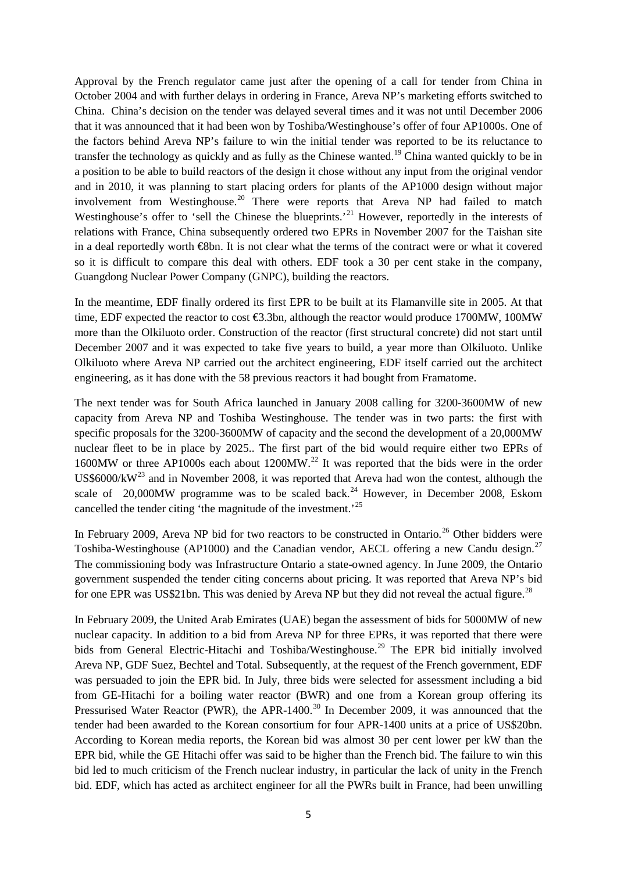Approval by the French regulator came just after the opening of a call for tender from China in October 2004 and with further delays in ordering in France, Areva NP's marketing efforts switched to China. China's decision on the tender was delayed several times and it was not until December 2006 that it was announced that it had been won by Toshiba/Westinghouse's offer of four AP1000s. One of the factors behind Areva NP's failure to win the initial tender was reported to be its reluctance to transfer the technology as quickly and as fully as the Chinese wanted.[19](#page-21-18) China wanted quickly to be in a position to be able to build reactors of the design it chose without any input from the original vendor and in 2010, it was planning to start placing orders for plants of the AP1000 design without major involvement from Westinghouse.<sup>[20](#page-21-19)</sup> There were reports that Areva NP had failed to match Westinghouse's offer to 'sell the Chinese the blueprints.'<sup>[21](#page-21-20)</sup> However, reportedly in the interests of relations with France, China subsequently ordered two EPRs in November 2007 for the Taishan site in a deal reportedly worth €8bn. It is not clear what the terms of the contract were or what it covered so it is difficult to compare this deal with others. EDF took a 30 per cent stake in the company, Guangdong Nuclear Power Company (GNPC), building the reactors.

In the meantime, EDF finally ordered its first EPR to be built at its Flamanville site in 2005. At that time, EDF expected the reactor to cost €3.3bn, although the reactor would produce 1700MW, 100MW more than the Olkiluoto order. Construction of the reactor (first structural concrete) did not start until December 2007 and it was expected to take five years to build, a year more than Olkiluoto. Unlike Olkiluoto where Areva NP carried out the architect engineering, EDF itself carried out the architect engineering, as it has done with the 58 previous reactors it had bought from Framatome.

The next tender was for South Africa launched in January 2008 calling for 3200-3600MW of new capacity from Areva NP and Toshiba Westinghouse. The tender was in two parts: the first with specific proposals for the 3200-3600MW of capacity and the second the development of a 20,000MW nuclear fleet to be in place by 2025.. The first part of the bid would require either two EPRs of 1600MW or three AP1000s each about 1200MW.<sup>[22](#page-21-21)</sup> It was reported that the bids were in the order US\$6000/kW<sup>[23](#page-21-22)</sup> and in November 2008, it was reported that Areva had won the contest, although the scale of 20,000MW programme was to be scaled back.<sup>[24](#page-21-23)</sup> However, in December 2008, Eskom cancelled the tender citing 'the magnitude of the investment.<sup>[25](#page-21-24)</sup>

In February 2009, Areva NP bid for two reactors to be constructed in Ontario.<sup>[26](#page-21-25)</sup> Other bidders were Toshiba-Westinghouse (AP1000) and the Canadian vendor, AECL offering a new Candu design.<sup>[27](#page-21-26)</sup> The commissioning body was Infrastructure Ontario a state-owned agency. In June 2009, the Ontario government suspended the tender citing concerns about pricing. It was reported that Areva NP's bid for one EPR was US\$21bn. This was denied by Areva NP but they did not reveal the actual figure.<sup>[28](#page-21-27)</sup>

In February 2009, the United Arab Emirates (UAE) began the assessment of bids for 5000MW of new nuclear capacity. In addition to a bid from Areva NP for three EPRs, it was reported that there were bids from General Electric-Hitachi and Toshiba/Westinghouse.<sup>[29](#page-21-28)</sup> The EPR bid initially involved Areva NP, GDF Suez, Bechtel and Total. Subsequently, at the request of the French government, EDF was persuaded to join the EPR bid. In July, three bids were selected for assessment including a bid from GE-Hitachi for a boiling water reactor (BWR) and one from a Korean group offering its Pressurised Water Reactor (PWR), the APR-1400.<sup>[30](#page-21-29)</sup> In December 2009, it was announced that the tender had been awarded to the Korean consortium for four APR-1400 units at a price of US\$20bn. According to Korean media reports, the Korean bid was almost 30 per cent lower per kW than the EPR bid, while the GE Hitachi offer was said to be higher than the French bid. The failure to win this bid led to much criticism of the French nuclear industry, in particular the lack of unity in the French bid. EDF, which has acted as architect engineer for all the PWRs built in France, had been unwilling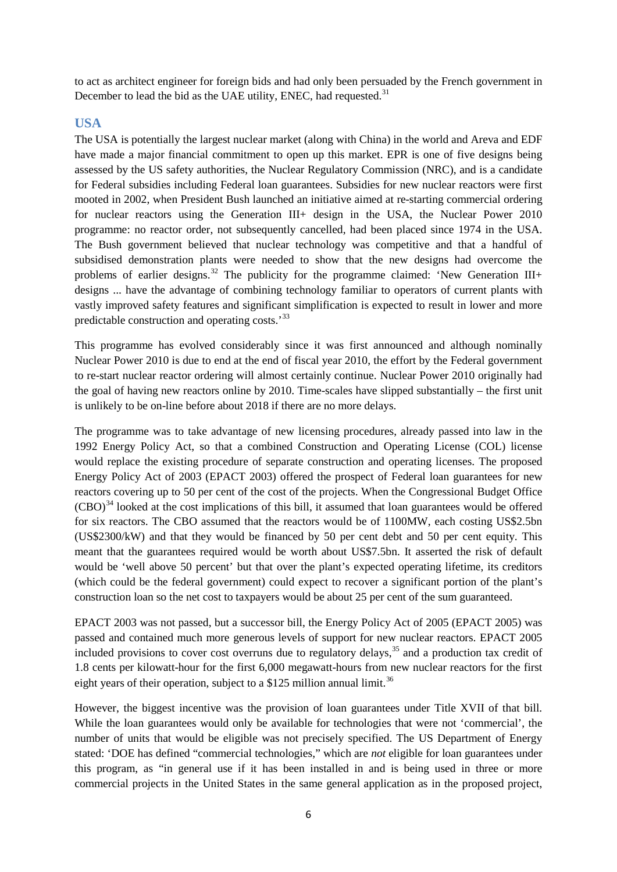to act as architect engineer for foreign bids and had only been persuaded by the French government in December to lead the bid as the UAE utility, ENEC, had requested.<sup>[31](#page-21-30)</sup>

## <span id="page-5-0"></span>**USA**

The USA is potentially the largest nuclear market (along with China) in the world and Areva and EDF have made a major financial commitment to open up this market. EPR is one of five designs being assessed by the US safety authorities, the Nuclear Regulatory Commission (NRC), and is a candidate for Federal subsidies including Federal loan guarantees. Subsidies for new nuclear reactors were first mooted in 2002, when President Bush launched an initiative aimed at re-starting commercial ordering for nuclear reactors using the Generation III+ design in the USA, the Nuclear Power 2010 programme: no reactor order, not subsequently cancelled, had been placed since 1974 in the USA. The Bush government believed that nuclear technology was competitive and that a handful of subsidised demonstration plants were needed to show that the new designs had overcome the problems of earlier designs.<sup>[32](#page-21-31)</sup> The publicity for the programme claimed: 'New Generation III+ designs ... have the advantage of combining technology familiar to operators of current plants with vastly improved safety features and significant simplification is expected to result in lower and more predictable construction and operating costs.'[33](#page-21-32)

This programme has evolved considerably since it was first announced and although nominally Nuclear Power 2010 is due to end at the end of fiscal year 2010, the effort by the Federal government to re-start nuclear reactor ordering will almost certainly continue. Nuclear Power 2010 originally had the goal of having new reactors online by 2010. Time-scales have slipped substantially – the first unit is unlikely to be on-line before about 2018 if there are no more delays.

The programme was to take advantage of new licensing procedures, already passed into law in the 1992 Energy Policy Act, so that a combined Construction and Operating License (COL) license would replace the existing procedure of separate construction and operating licenses. The proposed Energy Policy Act of 2003 (EPACT 2003) offered the prospect of Federal loan guarantees for new reactors covering up to 50 per cent of the cost of the projects. When the Congressional Budget Office  $(CBO)^{34}$  $(CBO)^{34}$  $(CBO)^{34}$  looked at the cost implications of this bill, it assumed that loan guarantees would be offered for six reactors. The CBO assumed that the reactors would be of 1100MW, each costing US\$2.5bn (US\$2300/kW) and that they would be financed by 50 per cent debt and 50 per cent equity. This meant that the guarantees required would be worth about US\$7.5bn. It asserted the risk of default would be 'well above 50 percent' but that over the plant's expected operating lifetime, its creditors (which could be the federal government) could expect to recover a significant portion of the plant's construction loan so the net cost to taxpayers would be about 25 per cent of the sum guaranteed.

EPACT 2003 was not passed, but a successor bill, the Energy Policy Act of 2005 (EPACT 2005) was passed and contained much more generous levels of support for new nuclear reactors. EPACT 2005 included provisions to cover cost overruns due to regulatory delays, [35](#page-21-34) and a production tax credit of 1.8 cents per kilowatt-hour for the first 6,000 megawatt-hours from new nuclear reactors for the first eight years of their operation, subject to a \$125 million annual limit.<sup>[36](#page-21-35)</sup>

However, the biggest incentive was the provision of loan guarantees under Title XVII of that bill. While the loan guarantees would only be available for technologies that were not 'commercial', the number of units that would be eligible was not precisely specified. The US Department of Energy stated: 'DOE has defined "commercial technologies," which are *not* eligible for loan guarantees under this program, as "in general use if it has been installed in and is being used in three or more commercial projects in the United States in the same general application as in the proposed project,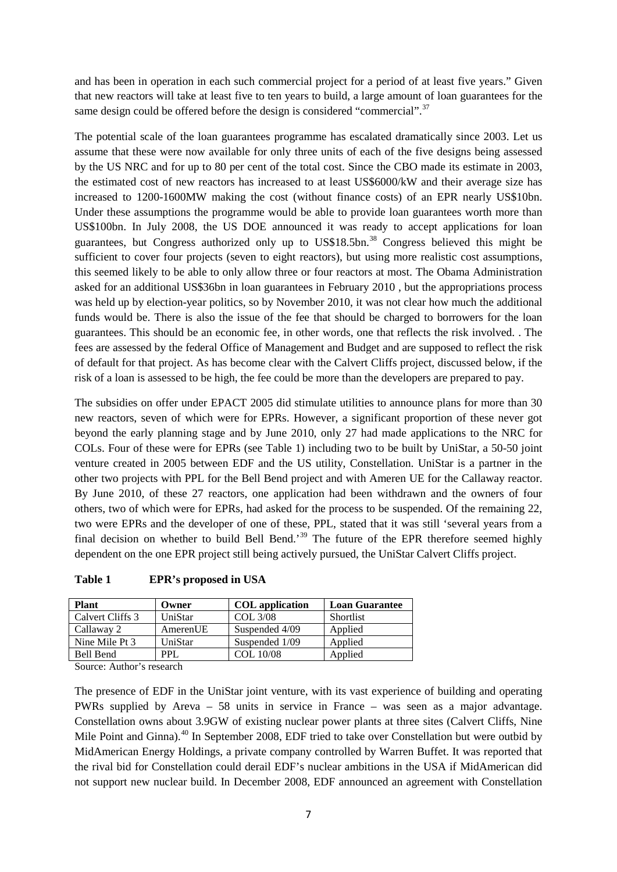and has been in operation in each such commercial project for a period of at least five years." Given that new reactors will take at least five to ten years to build, a large amount of loan guarantees for the same design could be offered before the design is considered "commercial".<sup>[37](#page-21-36)</sup>

The potential scale of the loan guarantees programme has escalated dramatically since 2003. Let us assume that these were now available for only three units of each of the five designs being assessed by the US NRC and for up to 80 per cent of the total cost. Since the CBO made its estimate in 2003, the estimated cost of new reactors has increased to at least US\$6000/kW and their average size has increased to 1200-1600MW making the cost (without finance costs) of an EPR nearly US\$10bn. Under these assumptions the programme would be able to provide loan guarantees worth more than US\$100bn. In July 2008, the US DOE announced it was ready to accept applications for loan guarantees, but Congress authorized only up to US\$18.5bn.<sup>[38](#page-21-37)</sup> Congress believed this might be sufficient to cover four projects (seven to eight reactors), but using more realistic cost assumptions, this seemed likely to be able to only allow three or four reactors at most. The Obama Administration asked for an additional US\$36bn in loan guarantees in February 2010 , but the appropriations process was held up by election-year politics, so by November 2010, it was not clear how much the additional funds would be. There is also the issue of the fee that should be charged to borrowers for the loan guarantees. This should be an economic fee, in other words, one that reflects the risk involved. . The fees are assessed by the federal Office of Management and Budget and are supposed to reflect the risk of default for that project. As has become clear with the Calvert Cliffs project, discussed below, if the risk of a loan is assessed to be high, the fee could be more than the developers are prepared to pay.

The subsidies on offer under EPACT 2005 did stimulate utilities to announce plans for more than 30 new reactors, seven of which were for EPRs. However, a significant proportion of these never got beyond the early planning stage and by June 2010, only 27 had made applications to the NRC for COLs. Four of these were for EPRs (see Table 1) including two to be built by UniStar, a 50-50 joint venture created in 2005 between EDF and the US utility, Constellation. UniStar is a partner in the other two projects with PPL for the Bell Bend project and with Ameren UE for the Callaway reactor. By June 2010, of these 27 reactors, one application had been withdrawn and the owners of four others, two of which were for EPRs, had asked for the process to be suspended. Of the remaining 22, two were EPRs and the developer of one of these, PPL, stated that it was still 'several years from a final decision on whether to build Bell Bend.<sup>[39](#page-21-38)</sup> The future of the EPR therefore seemed highly dependent on the one EPR project still being actively pursued, the UniStar Calvert Cliffs project.

| <b>Plant</b>                                                                                                         | Owner    | <b>COL</b> application | <b>Loan Guarantee</b> |
|----------------------------------------------------------------------------------------------------------------------|----------|------------------------|-----------------------|
| Calvert Cliffs 3                                                                                                     | UniStar  | <b>COL 3/08</b>        | Shortlist             |
| Callaway 2                                                                                                           | AmerenUE | Suspended 4/09         | Applied               |
| Nine Mile Pt 3                                                                                                       | UniStar  | Suspended 1/09         | Applied               |
| Bell Bend                                                                                                            | PPL.     | COL 10/08              | Applied               |
| .<br>the contract of the contract of the contract of the contract of the contract of the contract of the contract of |          |                        |                       |

Source: Author's research

The presence of EDF in the UniStar joint venture, with its vast experience of building and operating PWRs supplied by Areva – 58 units in service in France – was seen as a major advantage. Constellation owns about 3.9GW of existing nuclear power plants at three sites (Calvert Cliffs, Nine Mile Point and Ginna).<sup>[40](#page-21-39)</sup> In September 2008, EDF tried to take over Constellation but were outbid by MidAmerican Energy Holdings, a private company controlled by Warren Buffet. It was reported that the rival bid for Constellation could derail EDF's nuclear ambitions in the USA if MidAmerican did not support new nuclear build. In December 2008, EDF announced an agreement with Constellation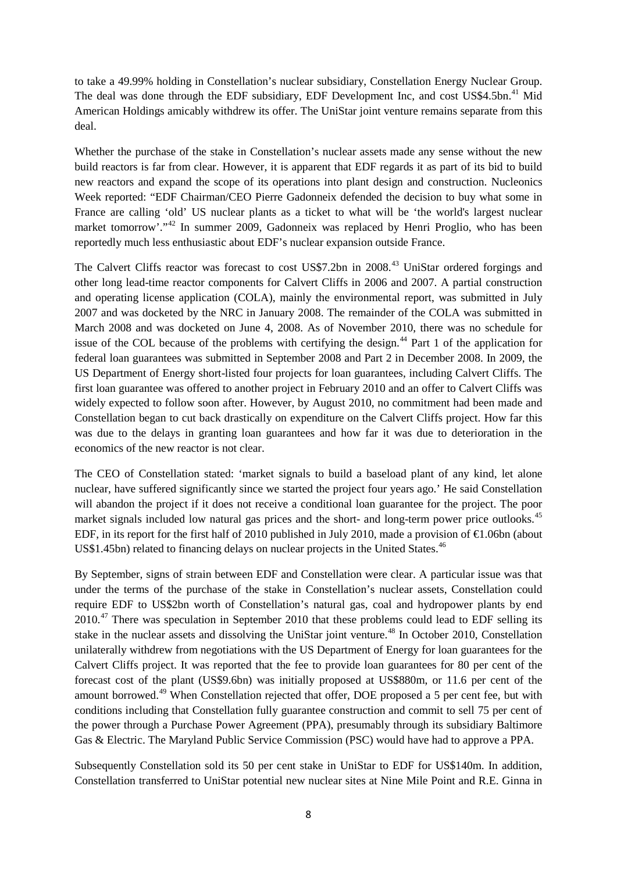to take a 49.99% holding in Constellation's nuclear subsidiary, Constellation Energy Nuclear Group. The deal was done through the EDF subsidiary, EDF Development Inc, and cost US\$4.5bn.<sup>[41](#page-21-40)</sup> Mid American Holdings amicably withdrew its offer. The UniStar joint venture remains separate from this deal.

Whether the purchase of the stake in Constellation's nuclear assets made any sense without the new build reactors is far from clear. However, it is apparent that EDF regards it as part of its bid to build new reactors and expand the scope of its operations into plant design and construction. Nucleonics Week reported: "EDF Chairman/CEO Pierre Gadonneix defended the decision to buy what some in France are calling 'old' US nuclear plants as a ticket to what will be 'the world's largest nuclear market tomorrow'."<sup>[42](#page-22-0)</sup> In summer 2009, Gadonneix was replaced by Henri Proglio, who has been reportedly much less enthusiastic about EDF's nuclear expansion outside France.

The Calvert Cliffs reactor was forecast to cost US\$7.2bn in 2008.<sup>[43](#page-22-1)</sup> UniStar ordered forgings and other long lead-time reactor components for Calvert Cliffs in 2006 and 2007. A partial construction and operating license application (COLA), mainly the environmental report, was submitted in July 2007 and was docketed by the NRC in January 2008. The remainder of the COLA was submitted in March 2008 and was docketed on June 4, 2008. As of November 2010, there was no schedule for issue of the COL because of the problems with certifying the design.<sup>[44](#page-22-2)</sup> Part 1 of the application for federal loan guarantees was submitted in September 2008 and Part 2 in December 2008. In 2009, the US Department of Energy short-listed four projects for loan guarantees, including Calvert Cliffs. The first loan guarantee was offered to another project in February 2010 and an offer to Calvert Cliffs was widely expected to follow soon after. However, by August 2010, no commitment had been made and Constellation began to cut back drastically on expenditure on the Calvert Cliffs project. How far this was due to the delays in granting loan guarantees and how far it was due to deterioration in the economics of the new reactor is not clear.

The CEO of Constellation stated: 'market signals to build a baseload plant of any kind, let alone nuclear, have suffered significantly since we started the project four years ago.' He said Constellation will abandon the project if it does not receive a conditional loan guarantee for the project. The poor market signals included low natural gas prices and the short- and long-term power price outlooks.<sup>[45](#page-22-3)</sup> EDF, in its report for the first half of 2010 published in July 2010, made a provision of  $\epsilon$ 1.06bn (about US\$1.45bn) related to financing delays on nuclear projects in the United States.<sup>[46](#page-22-4)</sup>

By September, signs of strain between EDF and Constellation were clear. A particular issue was that under the terms of the purchase of the stake in Constellation's nuclear assets, Constellation could require EDF to US\$2bn worth of Constellation's natural gas, coal and hydropower plants by end 2010.<sup>[47](#page-22-5)</sup> There was speculation in September 2010 that these problems could lead to EDF selling its stake in the nuclear assets and dissolving the UniStar joint venture.<sup>[48](#page-22-6)</sup> In October 2010, Constellation unilaterally withdrew from negotiations with the US Department of Energy for loan guarantees for the Calvert Cliffs project. It was reported that the fee to provide loan guarantees for 80 per cent of the forecast cost of the plant (US\$9.6bn) was initially proposed at US\$880m, or 11.6 per cent of the amount borrowed.<sup>[49](#page-22-7)</sup> When Constellation rejected that offer, DOE proposed a 5 per cent fee, but with conditions including that Constellation fully guarantee construction and commit to sell 75 per cent of the power through a Purchase Power Agreement (PPA), presumably through its subsidiary Baltimore Gas & Electric. The Maryland Public Service Commission (PSC) would have had to approve a PPA.

Subsequently Constellation sold its 50 per cent stake in UniStar to EDF for US\$140m. In addition, Constellation transferred to UniStar potential new nuclear sites at Nine Mile Point and R.E. Ginna in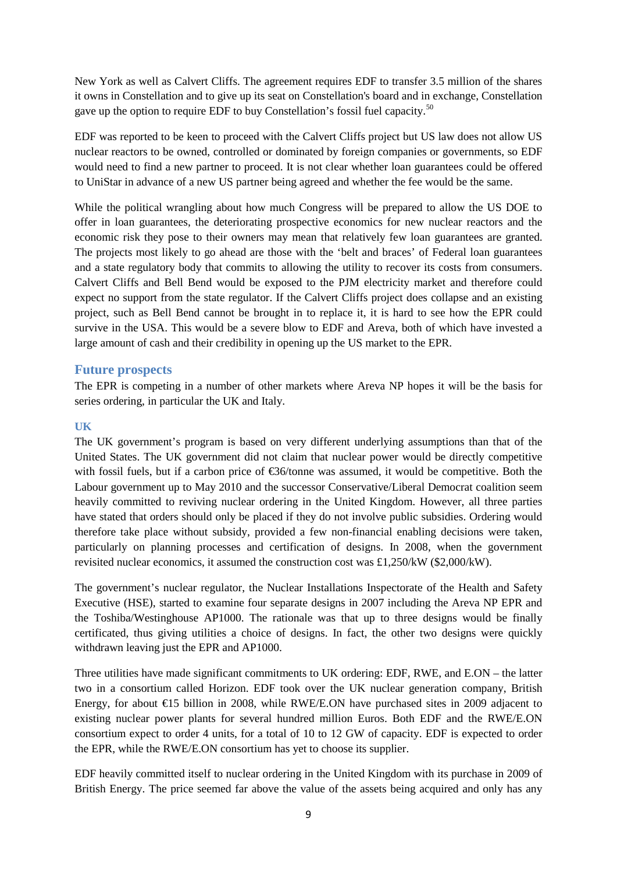New York as well as Calvert Cliffs. The agreement requires EDF to transfer 3.5 million of the shares it owns in Constellation and to give up its seat on Constellation's board and in exchange, Constellation gave up the option to require EDF to buy Constellation's fossil fuel capacity.<sup>[50](#page-22-8)</sup>

EDF was reported to be keen to proceed with the Calvert Cliffs project but US law does not allow US nuclear reactors to be owned, controlled or dominated by foreign companies or governments, so EDF would need to find a new partner to proceed. It is not clear whether loan guarantees could be offered to UniStar in advance of a new US partner being agreed and whether the fee would be the same.

While the political wrangling about how much Congress will be prepared to allow the US DOE to offer in loan guarantees, the deteriorating prospective economics for new nuclear reactors and the economic risk they pose to their owners may mean that relatively few loan guarantees are granted. The projects most likely to go ahead are those with the 'belt and braces' of Federal loan guarantees and a state regulatory body that commits to allowing the utility to recover its costs from consumers. Calvert Cliffs and Bell Bend would be exposed to the PJM electricity market and therefore could expect no support from the state regulator. If the Calvert Cliffs project does collapse and an existing project, such as Bell Bend cannot be brought in to replace it, it is hard to see how the EPR could survive in the USA. This would be a severe blow to EDF and Areva, both of which have invested a large amount of cash and their credibility in opening up the US market to the EPR.

## <span id="page-8-0"></span>**Future prospects**

The EPR is competing in a number of other markets where Areva NP hopes it will be the basis for series ordering, in particular the UK and Italy.

#### <span id="page-8-1"></span>**UK**

The UK government's program is based on very different underlying assumptions than that of the United States. The UK government did not claim that nuclear power would be directly competitive with fossil fuels, but if a carbon price of €36/tonne was assumed, it would be competitive. Both the Labour government up to May 2010 and the successor Conservative/Liberal Democrat coalition seem heavily committed to reviving nuclear ordering in the United Kingdom. However, all three parties have stated that orders should only be placed if they do not involve public subsidies. Ordering would therefore take place without subsidy, provided a few non-financial enabling decisions were taken, particularly on planning processes and certification of designs. In 2008, when the government revisited nuclear economics, it assumed the construction cost was £1,250/kW (\$2,000/kW).

The government's nuclear regulator, the Nuclear Installations Inspectorate of the Health and Safety Executive (HSE), started to examine four separate designs in 2007 including the Areva NP EPR and the Toshiba/Westinghouse AP1000. The rationale was that up to three designs would be finally certificated, thus giving utilities a choice of designs. In fact, the other two designs were quickly withdrawn leaving just the EPR and AP1000.

Three utilities have made significant commitments to UK ordering: EDF, RWE, and E.ON – the latter two in a consortium called Horizon. EDF took over the UK nuclear generation company, British Energy, for about  $\bigoplus$  5 billion in 2008, while RWE/E.ON have purchased sites in 2009 adjacent to existing nuclear power plants for several hundred million Euros. Both EDF and the RWE/E.ON consortium expect to order 4 units, for a total of 10 to 12 GW of capacity. EDF is expected to order the EPR, while the RWE/E.ON consortium has yet to choose its supplier.

EDF heavily committed itself to nuclear ordering in the United Kingdom with its purchase in 2009 of British Energy. The price seemed far above the value of the assets being acquired and only has any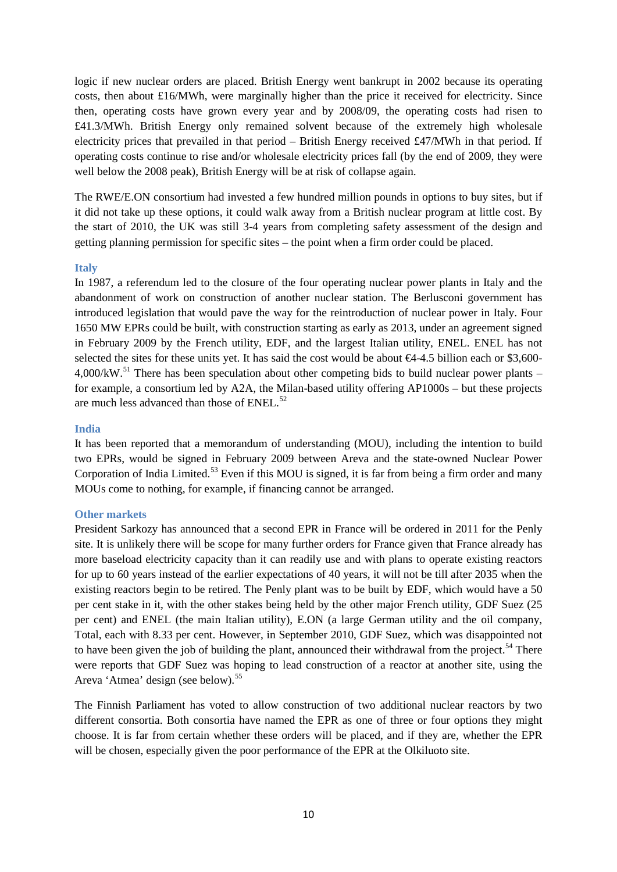logic if new nuclear orders are placed. British Energy went bankrupt in 2002 because its operating costs, then about £16/MWh, were marginally higher than the price it received for electricity. Since then, operating costs have grown every year and by 2008/09, the operating costs had risen to £41.3/MWh. British Energy only remained solvent because of the extremely high wholesale electricity prices that prevailed in that period – British Energy received £47/MWh in that period. If operating costs continue to rise and/or wholesale electricity prices fall (by the end of 2009, they were well below the 2008 peak), British Energy will be at risk of collapse again.

The RWE/E.ON consortium had invested a few hundred million pounds in options to buy sites, but if it did not take up these options, it could walk away from a British nuclear program at little cost. By the start of 2010, the UK was still 3-4 years from completing safety assessment of the design and getting planning permission for specific sites – the point when a firm order could be placed.

#### <span id="page-9-0"></span>**Italy**

In 1987, a referendum led to the closure of the four operating nuclear power plants in Italy and the abandonment of work on construction of another nuclear station. The Berlusconi government has introduced legislation that would pave the way for the reintroduction of nuclear power in Italy. Four 1650 MW EPRs could be built, with construction starting as early as 2013, under an agreement signed in February 2009 by the French utility, EDF, and the largest Italian utility, ENEL. ENEL has not selected the sites for these units yet. It has said the cost would be about €4-4.5 billion each or \$3,600- $4,000/kW$ .<sup>[51](#page-22-9)</sup> There has been speculation about other competing bids to build nuclear power plants – for example, a consortium led by A2A, the Milan-based utility offering AP1000s – but these projects are much less advanced than those of ENEL.<sup>[52](#page-22-10)</sup>

#### <span id="page-9-1"></span>**India**

It has been reported that a memorandum of understanding (MOU), including the intention to build two EPRs, would be signed in February 2009 between Areva and the state-owned Nuclear Power Corporation of India Limited.<sup>[53](#page-22-11)</sup> Even if this MOU is signed, it is far from being a firm order and many MOUs come to nothing, for example, if financing cannot be arranged.

#### <span id="page-9-2"></span>**Other markets**

President Sarkozy has announced that a second EPR in France will be ordered in 2011 for the Penly site. It is unlikely there will be scope for many further orders for France given that France already has more baseload electricity capacity than it can readily use and with plans to operate existing reactors for up to 60 years instead of the earlier expectations of 40 years, it will not be till after 2035 when the existing reactors begin to be retired. The Penly plant was to be built by EDF, which would have a 50 per cent stake in it, with the other stakes being held by the other major French utility, GDF Suez (25 per cent) and ENEL (the main Italian utility), E.ON (a large German utility and the oil company, Total, each with 8.33 per cent. However, in September 2010, GDF Suez, which was disappointed not to have been given the job of building the plant, announced their withdrawal from the project.<sup>[54](#page-22-12)</sup> There were reports that GDF Suez was hoping to lead construction of a reactor at another site, using the Areva 'Atmea' design (see below).<sup>[55](#page-22-13)</sup>

The Finnish Parliament has voted to allow construction of two additional nuclear reactors by two different consortia. Both consortia have named the EPR as one of three or four options they might choose. It is far from certain whether these orders will be placed, and if they are, whether the EPR will be chosen, especially given the poor performance of the EPR at the Olkiluoto site.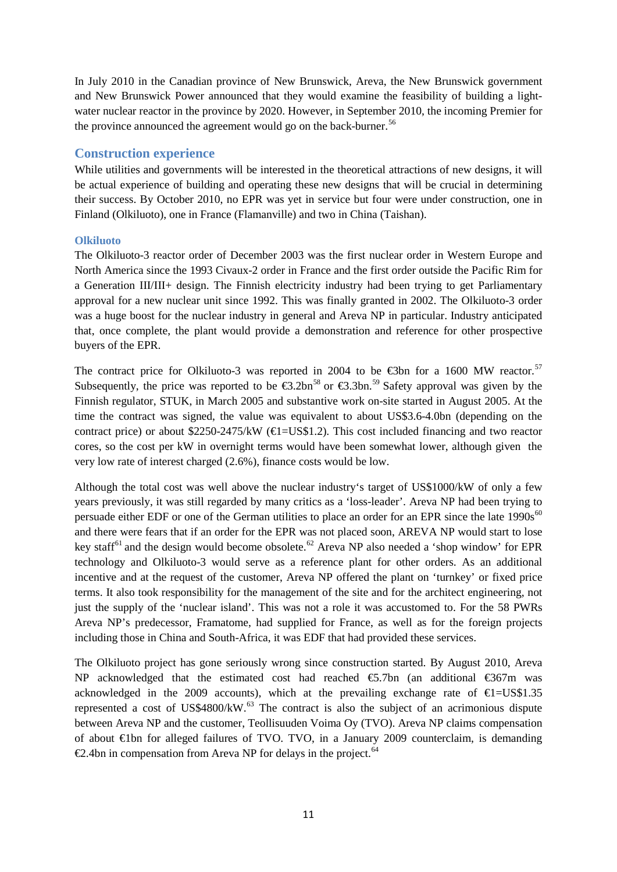In July 2010 in the Canadian province of New Brunswick, Areva, the New Brunswick government and New Brunswick Power announced that they would examine the feasibility of building a lightwater nuclear reactor in the province by 2020. However, in September 2010, the incoming Premier for the province announced the agreement would go on the back-burner.<sup>[56](#page-22-14)</sup>

## <span id="page-10-0"></span>**Construction experience**

While utilities and governments will be interested in the theoretical attractions of new designs, it will be actual experience of building and operating these new designs that will be crucial in determining their success. By October 2010, no EPR was yet in service but four were under construction, one in Finland (Olkiluoto), one in France (Flamanville) and two in China (Taishan).

#### <span id="page-10-1"></span>**Olkiluoto**

The Olkiluoto-3 reactor order of December 2003 was the first nuclear order in Western Europe and North America since the 1993 Civaux-2 order in France and the first order outside the Pacific Rim for a Generation III/III+ design. The Finnish electricity industry had been trying to get Parliamentary approval for a new nuclear unit since 1992. This was finally granted in 2002. The Olkiluoto-3 order was a huge boost for the nuclear industry in general and Areva NP in particular. Industry anticipated that, once complete, the plant would provide a demonstration and reference for other prospective buyers of the EPR.

The contract price for Olkiluoto-3 was reported in 2004 to be  $\epsilon$ 3bn for a 1600 MW reactor.<sup>[57](#page-22-15)</sup> Subsequently, the price was reported to be  $\epsilon 3.2$ bn<sup>[58](#page-22-16)</sup> or  $\epsilon 3.3$ bn.<sup>[59](#page-22-17)</sup> Safety approval was given by the Finnish regulator, STUK, in March 2005 and substantive work on-site started in August 2005. At the time the contract was signed, the value was equivalent to about US\$3.6-4.0bn (depending on the contract price) or about \$2250-2475/kW ( $\bigoplus$ =US\$1.2). This cost included financing and two reactor cores, so the cost per kW in overnight terms would have been somewhat lower, although given the very low rate of interest charged (2.6%), finance costs would be low.

Although the total cost was well above the nuclear industry's target of US\$1000/kW of only a few years previously, it was still regarded by many critics as a 'loss-leader'. Areva NP had been trying to persuade either EDF or one of the German utilities to place an order for an EPR since the late 1990s<sup>[60](#page-22-18)</sup> and there were fears that if an order for the EPR was not placed soon, AREVA NP would start to lose key staff<sup>[61](#page-22-19)</sup> and the design would become obsolete.<sup>[62](#page-22-20)</sup> Areva NP also needed a 'shop window' for EPR technology and Olkiluoto-3 would serve as a reference plant for other orders. As an additional incentive and at the request of the customer, Areva NP offered the plant on 'turnkey' or fixed price terms. It also took responsibility for the management of the site and for the architect engineering, not just the supply of the 'nuclear island'. This was not a role it was accustomed to. For the 58 PWRs Areva NP's predecessor, Framatome, had supplied for France, as well as for the foreign projects including those in China and South-Africa, it was EDF that had provided these services.

The Olkiluoto project has gone seriously wrong since construction started. By August 2010, Areva NP acknowledged that the estimated cost had reached €5.7bn (an additional €367m was acknowledged in the 2009 accounts), which at the prevailing exchange rate of  $\epsilon = USS1.35$ represented a cost of US\$4800/kW. $^{63}$  $^{63}$  $^{63}$  The contract is also the subject of an acrimonious dispute between Areva NP and the customer, Teollisuuden Voima Oy (TVO). Areva NP claims compensation of about €1bn for alleged failures of TVO. TVO, in a January 2009 counterclaim, is demanding  $\epsilon$ 2.4bn in compensation from Areva NP for delays in the project.<sup>[64](#page-22-22)</sup>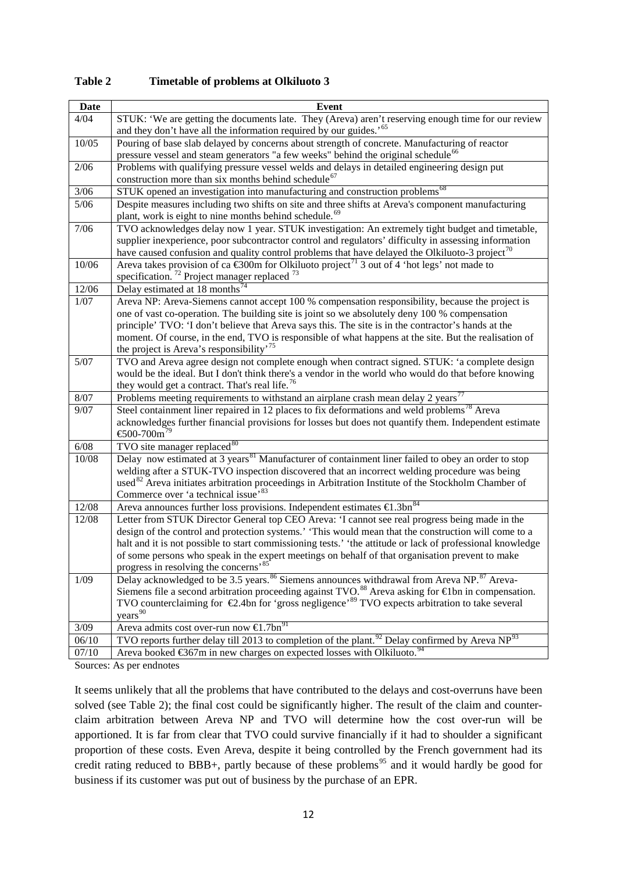| <b>Date</b>     | Event                                                                                                                                                                                                              |
|-----------------|--------------------------------------------------------------------------------------------------------------------------------------------------------------------------------------------------------------------|
| 4/04            | STUK: 'We are getting the documents late. They (Areva) aren't reserving enough time for our review                                                                                                                 |
|                 | and they don't have all the information required by our guides.' <sup>65</sup>                                                                                                                                     |
| 10/05           | Pouring of base slab delayed by concerns about strength of concrete. Manufacturing of reactor                                                                                                                      |
|                 | pressure vessel and steam generators "a few weeks" behind the original schedule <sup>66</sup>                                                                                                                      |
| 2/06            | Problems with qualifying pressure vessel welds and delays in detailed engineering design put                                                                                                                       |
|                 | construction more than six months behind schedule <sup>67</sup>                                                                                                                                                    |
| $3/06$          | STUK opened an investigation into manufacturing and construction problems <sup>68</sup>                                                                                                                            |
| $5/06$          | Despite measures including two shifts on site and three shifts at Areva's component manufacturing                                                                                                                  |
|                 | plant, work is eight to nine months behind schedule. <sup>69</sup>                                                                                                                                                 |
| $7/06$          | TVO acknowledges delay now 1 year. STUK investigation: An extremely tight budget and timetable,                                                                                                                    |
|                 | supplier inexperience, poor subcontractor control and regulators' difficulty in assessing information                                                                                                              |
|                 | have caused confusion and quality control problems that have delayed the Olkiluoto-3 project <sup>70</sup>                                                                                                         |
| 10/06           | Areva takes provision of ca $\bigoplus$ 00m for Olkiluoto project <sup>71</sup> 3 out of 4 'hot legs' not made to                                                                                                  |
|                 | specification. <sup>72</sup> Project manager replaced <sup>73</sup><br>Delay estimated at 18 months <sup>7</sup>                                                                                                   |
| 12/06<br>$1/07$ | Areva NP: Areva-Siemens cannot accept 100 % compensation responsibility, because the project is                                                                                                                    |
|                 | one of vast co-operation. The building site is joint so we absolutely deny 100 % compensation                                                                                                                      |
|                 | principle' TVO: 'I don't believe that Areva says this. The site is in the contractor's hands at the                                                                                                                |
|                 | moment. Of course, in the end, TVO is responsible of what happens at the site. But the realisation of                                                                                                              |
|                 | the project is Areva's responsibility' <sup>75</sup>                                                                                                                                                               |
| $5/07$          | TVO and Areva agree design not complete enough when contract signed. STUK: 'a complete design                                                                                                                      |
|                 | would be the ideal. But I don't think there's a vendor in the world who would do that before knowing                                                                                                               |
|                 | they would get a contract. That's real life. <sup>76</sup>                                                                                                                                                         |
| 8/07            | Problems meeting requirements to withstand an airplane crash mean delay 2 years <sup>77</sup>                                                                                                                      |
| 9/07            | Steel containment liner repaired in 12 places to fix deformations and weld problems <sup>78</sup> Areva                                                                                                            |
|                 | acknowledges further financial provisions for losses but does not quantify them. Independent estimate                                                                                                              |
|                 | €500-700 $m^{79}$                                                                                                                                                                                                  |
| 6/08            | TVO site manager replaced $80$                                                                                                                                                                                     |
| 10/08           | Delay now estimated at 3 years <sup>81</sup> Manufacturer of containment liner failed to obey an order to stop                                                                                                     |
|                 | welding after a STUK-TVO inspection discovered that an incorrect welding procedure was being                                                                                                                       |
|                 | used <sup>82</sup> Areva initiates arbitration proceedings in Arbitration Institute of the Stockholm Chamber of                                                                                                    |
|                 | Commerce over 'a technical issue' <sup>83</sup>                                                                                                                                                                    |
| 12/08           | Areva announces further loss provisions. Independent estimates €1.3bn <sup>84</sup>                                                                                                                                |
| 12/08           | Letter from STUK Director General top CEO Areva: 'I cannot see real progress being made in the                                                                                                                     |
|                 | design of the control and protection systems.' 'This would mean that the construction will come to a<br>halt and it is not possible to start commissioning tests.' 'the attitude or lack of professional knowledge |
|                 | of some persons who speak in the expert meetings on behalf of that organisation prevent to make                                                                                                                    |
|                 | progress in resolving the concerns <sup>85</sup>                                                                                                                                                                   |
| 1/09            | Delay acknowledged to be 3.5 years. <sup>86</sup> Siemens announces withdrawal from Areva NP. <sup>87</sup> Areva-                                                                                                 |
|                 | Siemens file a second arbitration proceeding against TVO. <sup>88</sup> Areva asking for $\in$ bn in compensation.                                                                                                 |
|                 | TVO counterclaiming for $\epsilon$ 2.4bn for 'gross negligence' <sup>89</sup> TVO expects arbitration to take several                                                                                              |
|                 | years <sup>90</sup>                                                                                                                                                                                                |
| 3/09            | Areva admits cost over-run now $\text{\textsterling}1.7\text{bn}^{91}$                                                                                                                                             |
| 06/10           | TVO reports further delay till 2013 to completion of the plant. <sup>92</sup> Delay confirmed by Areva NP <sup>93</sup>                                                                                            |
| 07/10           | Areva booked $\text{\textsterling}67m$ in new charges on expected losses with Olkiluoto. <sup>94</sup>                                                                                                             |

**Table 2 Timetable of problems at Olkiluoto 3**

Sources: As per endnotes

It seems unlikely that all the problems that have contributed to the delays and cost-overruns have been solved (see Table 2); the final cost could be significantly higher. The result of the claim and counterclaim arbitration between Areva NP and TVO will determine how the cost over-run will be apportioned. It is far from clear that TVO could survive financially if it had to shoulder a significant proportion of these costs. Even Areva, despite it being controlled by the French government had its credit rating reduced to BBB+, partly because of these problems<sup>[95](#page-23-7)</sup> and it would hardly be good for business if its customer was put out of business by the purchase of an EPR.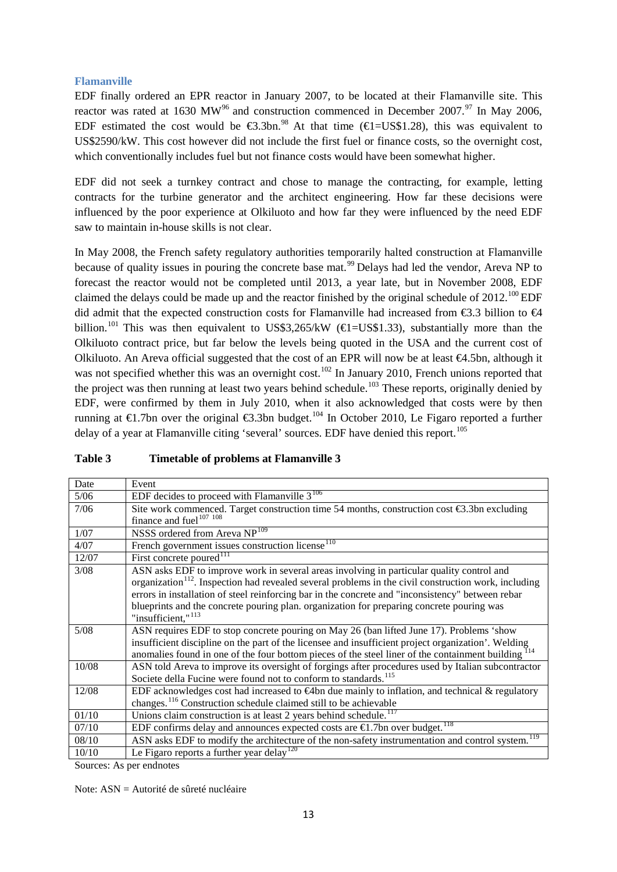## <span id="page-12-0"></span>**Flamanville**

EDF finally ordered an EPR reactor in January 2007, to be located at their Flamanville site. This reactor was rated at 1630 MW<sup>[96](#page-23-8)</sup> and construction commenced in December 2007.<sup>[97](#page-23-9)</sup> In May 2006, EDF estimated the cost would be  $\epsilon$ 3.3bn.<sup>[98](#page-23-10)</sup> At that time ( $\epsilon$ I=US\$1.28), this was equivalent to US\$2590/kW. This cost however did not include the first fuel or finance costs, so the overnight cost, which conventionally includes fuel but not finance costs would have been somewhat higher.

EDF did not seek a turnkey contract and chose to manage the contracting, for example, letting contracts for the turbine generator and the architect engineering. How far these decisions were influenced by the poor experience at Olkiluoto and how far they were influenced by the need EDF saw to maintain in-house skills is not clear.

In May 2008, the French safety regulatory authorities temporarily halted construction at Flamanville because of quality issues in pouring the concrete base mat.<sup>[99](#page-23-11)</sup> Delays had led the vendor, Areva NP to forecast the reactor would not be completed until 2013, a year late, but in November 2008, EDF claimed the delays could be made up and the reactor finished by the original schedule of  $2012^{100}$  $2012^{100}$  $2012^{100}$  EDF did admit that the expected construction costs for Flamanville had increased from  $\epsilon$ 3.3 billion to  $\epsilon$ 4 billion.<sup>[101](#page-23-13)</sup> This was then equivalent to US\$3,265/kW ( $\in$ IUS\$1.33), substantially more than the Olkiluoto contract price, but far below the levels being quoted in the USA and the current cost of Olkiluoto. An Areva official suggested that the cost of an EPR will now be at least €4.5bn, although it was not specified whether this was an overnight cost.<sup>[102](#page-23-14)</sup> In January 2010, French unions reported that the project was then running at least two years behind schedule.<sup>[103](#page-23-15)</sup> These reports, originally denied by EDF, were confirmed by them in July 2010, when it also acknowledged that costs were by then running at  $\in$ 1.7bn over the original  $\in$ 3.3bn budget.<sup>[104](#page-23-16)</sup> In October 2010, Le Figaro reported a further delay of a year at Flamanville citing 'several' sources. EDF have denied this report.<sup>[105](#page-23-17)</sup>

| Date   | Event                                                                                                                                                                                                                                                                                                                                                                                                                                             |
|--------|---------------------------------------------------------------------------------------------------------------------------------------------------------------------------------------------------------------------------------------------------------------------------------------------------------------------------------------------------------------------------------------------------------------------------------------------------|
| 5/06   | EDF decides to proceed with Flamanville $3^{106}$                                                                                                                                                                                                                                                                                                                                                                                                 |
| 7/06   | Site work commenced. Target construction time 54 months, construction cost $\bigoplus$ .3bn excluding<br>finance and fuel <sup>107</sup> <sup>108</sup>                                                                                                                                                                                                                                                                                           |
| 1/07   | NSSS ordered from Areva NP <sup>109</sup>                                                                                                                                                                                                                                                                                                                                                                                                         |
| 4/07   | French government issues construction license <sup>110</sup>                                                                                                                                                                                                                                                                                                                                                                                      |
| 12/07  | First concrete poured $^{111}$                                                                                                                                                                                                                                                                                                                                                                                                                    |
| 3/08   | ASN asks EDF to improve work in several areas involving in particular quality control and<br>organization <sup>112</sup> . Inspection had revealed several problems in the civil construction work, including<br>errors in installation of steel reinforcing bar in the concrete and "inconsistency" between rebar<br>blueprints and the concrete pouring plan. organization for preparing concrete pouring was<br>"insufficient," <sup>113</sup> |
| $5/08$ | ASN requires EDF to stop concrete pouring on May 26 (ban lifted June 17). Problems 'show<br>insufficient discipline on the part of the licensee and insufficient project organization'. Welding<br>anomalies found in one of the four bottom pieces of the steel liner of the containment building 114                                                                                                                                            |
| 10/08  | ASN told Areva to improve its oversight of forgings after procedures used by Italian subcontractor<br>Societe della Fucine were found not to conform to standards. <sup>115</sup>                                                                                                                                                                                                                                                                 |
| 12/08  | EDF acknowledges cost had increased to $\bigoplus$ h due mainly to inflation, and technical & regulatory<br>changes. <sup>116</sup> Construction schedule claimed still to be achievable                                                                                                                                                                                                                                                          |
| 01/10  | Unions claim construction is at least 2 years behind schedule. <sup>117</sup>                                                                                                                                                                                                                                                                                                                                                                     |
| 07/10  | EDF confirms delay and announces expected costs are $\bigoplus$ . 7bn over budget. <sup>118</sup>                                                                                                                                                                                                                                                                                                                                                 |
| 08/10  | ASN asks EDF to modify the architecture of the non-safety instrumentation and control system.                                                                                                                                                                                                                                                                                                                                                     |
| 10/10  | Le Figaro reports a further year delay <sup>120</sup>                                                                                                                                                                                                                                                                                                                                                                                             |

## **Table 3 Timetable of problems at Flamanville 3**

Sources: As per endnotes

Note: ASN = Autorité de sûreté nucléaire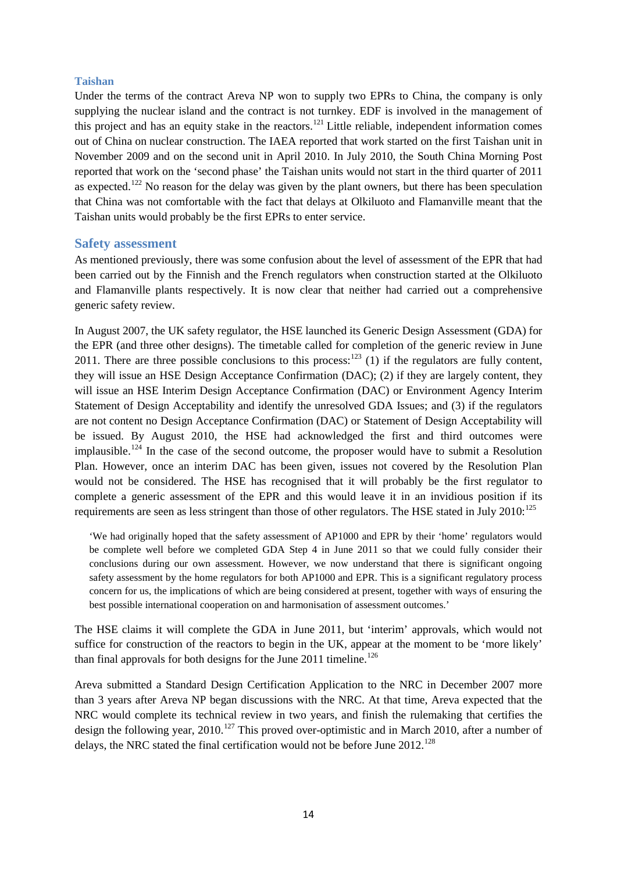#### <span id="page-13-0"></span>**Taishan**

Under the terms of the contract Areva NP won to supply two EPRs to China, the company is only supplying the nuclear island and the contract is not turnkey. EDF is involved in the management of this project and has an equity stake in the reactors.<sup>[121](#page-23-33)</sup> Little reliable, independent information comes out of China on nuclear construction. The IAEA reported that work started on the first Taishan unit in November 2009 and on the second unit in April 2010. In July 2010, the South China Morning Post reported that work on the 'second phase' the Taishan units would not start in the third quarter of 2011 as expected.<sup>[122](#page-23-34)</sup> No reason for the delay was given by the plant owners, but there has been speculation that China was not comfortable with the fact that delays at Olkiluoto and Flamanville meant that the Taishan units would probably be the first EPRs to enter service.

#### <span id="page-13-1"></span>**Safety assessment**

As mentioned previously, there was some confusion about the level of assessment of the EPR that had been carried out by the Finnish and the French regulators when construction started at the Olkiluoto and Flamanville plants respectively. It is now clear that neither had carried out a comprehensive generic safety review.

In August 2007, the UK safety regulator, the HSE launched its Generic Design Assessment (GDA) for the EPR (and three other designs). The timetable called for completion of the generic review in June 2011. There are three possible conclusions to this process:  $123$  (1) if the regulators are fully content, they will issue an HSE Design Acceptance Confirmation (DAC); (2) if they are largely content, they will issue an HSE Interim Design Acceptance Confirmation (DAC) or Environment Agency Interim Statement of Design Acceptability and identify the unresolved GDA Issues; and (3) if the regulators are not content no Design Acceptance Confirmation (DAC) or Statement of Design Acceptability will be issued. By August 2010, the HSE had acknowledged the first and third outcomes were implausible.<sup>[124](#page-23-36)</sup> In the case of the second outcome, the proposer would have to submit a Resolution Plan. However, once an interim DAC has been given, issues not covered by the Resolution Plan would not be considered. The HSE has recognised that it will probably be the first regulator to complete a generic assessment of the EPR and this would leave it in an invidious position if its requirements are seen as less stringent than those of other regulators. The HSE stated in July  $2010$ :<sup>[125](#page-23-37)</sup>

'We had originally hoped that the safety assessment of AP1000 and EPR by their 'home' regulators would be complete well before we completed GDA Step 4 in June 2011 so that we could fully consider their conclusions during our own assessment. However, we now understand that there is significant ongoing safety assessment by the home regulators for both AP1000 and EPR. This is a significant regulatory process concern for us, the implications of which are being considered at present, together with ways of ensuring the best possible international cooperation on and harmonisation of assessment outcomes.'

The HSE claims it will complete the GDA in June 2011, but 'interim' approvals, which would not suffice for construction of the reactors to begin in the UK, appear at the moment to be 'more likely' than final approvals for both designs for the June  $2011$  timeline.<sup>[126](#page-23-38)</sup>

Areva submitted a Standard Design Certification Application to the NRC in December 2007 more than 3 years after Areva NP began discussions with the NRC. At that time, Areva expected that the NRC would complete its technical review in two years, and finish the rulemaking that certifies the design the following year,  $2010$ <sup>[127](#page-23-39)</sup> This proved over-optimistic and in March 2010, after a number of delays, the NRC stated the final certification would not be before June 2012.<sup>[128](#page-23-40)</sup>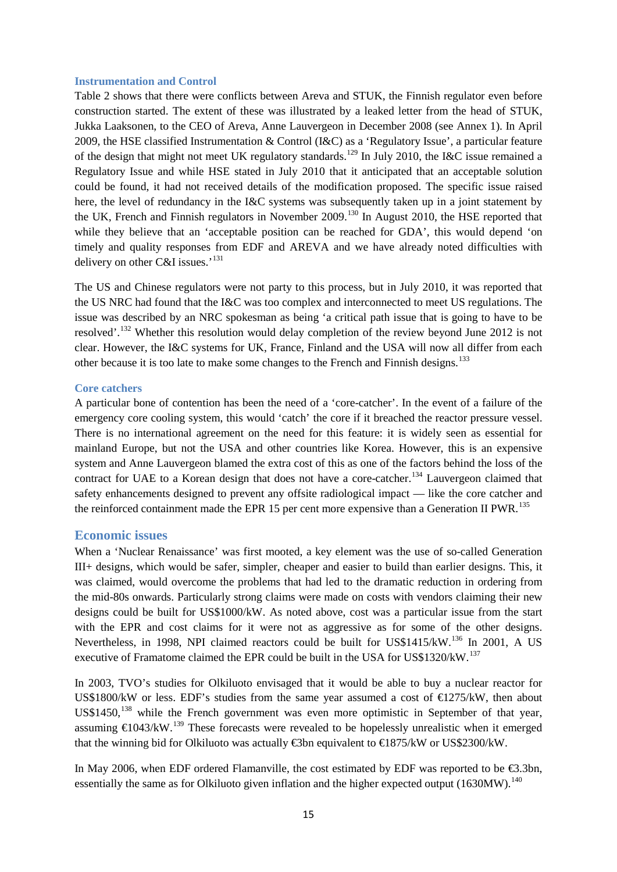#### <span id="page-14-0"></span>**Instrumentation and Control**

Table 2 shows that there were conflicts between Areva and STUK, the Finnish regulator even before construction started. The extent of these was illustrated by a leaked letter from the head of STUK, Jukka Laaksonen, to the CEO of Areva, Anne Lauvergeon in December 2008 (see Annex 1). In April 2009, the HSE classified Instrumentation & Control (I&C) as a 'Regulatory Issue', a particular feature of the design that might not meet UK regulatory standards.<sup>[129](#page-23-41)</sup> In July 2010, the I&C issue remained a Regulatory Issue and while HSE stated in July 2010 that it anticipated that an acceptable solution could be found, it had not received details of the modification proposed. The specific issue raised here, the level of redundancy in the I&C systems was subsequently taken up in a joint statement by the UK, French and Finnish regulators in November 2009.<sup>[130](#page-23-42)</sup> In August 2010, the HSE reported that while they believe that an 'acceptable position can be reached for GDA', this would depend 'on timely and quality responses from EDF and AREVA and we have already noted difficulties with delivery on other C&I issues.'<sup>[131](#page-23-43)</sup>

The US and Chinese regulators were not party to this process, but in July 2010, it was reported that the US NRC had found that the I&C was too complex and interconnected to meet US regulations. The issue was described by an NRC spokesman as being 'a critical path issue that is going to have to be resolved'.[132](#page-23-44) Whether this resolution would delay completion of the review beyond June 2012 is not clear. However, the I&C systems for UK, France, Finland and the USA will now all differ from each other because it is too late to make some changes to the French and Finnish designs.<sup>[133](#page-23-45)</sup>

#### <span id="page-14-1"></span>**Core catchers**

A particular bone of contention has been the need of a 'core-catcher'. In the event of a failure of the emergency core cooling system, this would 'catch' the core if it breached the reactor pressure vessel. There is no international agreement on the need for this feature: it is widely seen as essential for mainland Europe, but not the USA and other countries like Korea. However, this is an expensive system and Anne Lauvergeon blamed the extra cost of this as one of the factors behind the loss of the contract for UAE to a Korean design that does not have a core-catcher.<sup>[134](#page-23-46)</sup> Lauvergeon claimed that safety enhancements designed to prevent any offsite radiological impact — like the core catcher and the reinforced containment made the EPR 15 per cent more expensive than a Generation II PWR.<sup>[135](#page-23-47)</sup>

#### <span id="page-14-2"></span>**Economic issues**

When a 'Nuclear Renaissance' was first mooted, a key element was the use of so-called Generation III+ designs, which would be safer, simpler, cheaper and easier to build than earlier designs. This, it was claimed, would overcome the problems that had led to the dramatic reduction in ordering from the mid-80s onwards. Particularly strong claims were made on costs with vendors claiming their new designs could be built for US\$1000/kW. As noted above, cost was a particular issue from the start with the EPR and cost claims for it were not as aggressive as for some of the other designs. Nevertheless, in 1998, NPI claimed reactors could be built for US\$1415/kW.<sup>[136](#page-24-0)</sup> In 2001, A US executive of Framatome claimed the EPR could be built in the USA for US\$1320/kW.<sup>[137](#page-24-1)</sup>

In 2003, TVO's studies for Olkiluoto envisaged that it would be able to buy a nuclear reactor for US\$1800/kW or less. EDF's studies from the same year assumed a cost of  $E275/kW$ , then about US\$1450,<sup>[138](#page-24-2)</sup> while the French government was even more optimistic in September of that year, assuming  $€1043/kW$ .<sup>[139](#page-24-3)</sup> These forecasts were revealed to be hopelessly unrealistic when it emerged that the winning bid for Olkiluoto was actually €3bn equivalent to €1875/kW or US\$2300/kW.

In May 2006, when EDF ordered Flamanville, the cost estimated by EDF was reported to be  $\epsilon$ 3.3bn, essentially the same as for Olkiluoto given inflation and the higher expected output  $(1630MW)^{140}$  $(1630MW)^{140}$  $(1630MW)^{140}$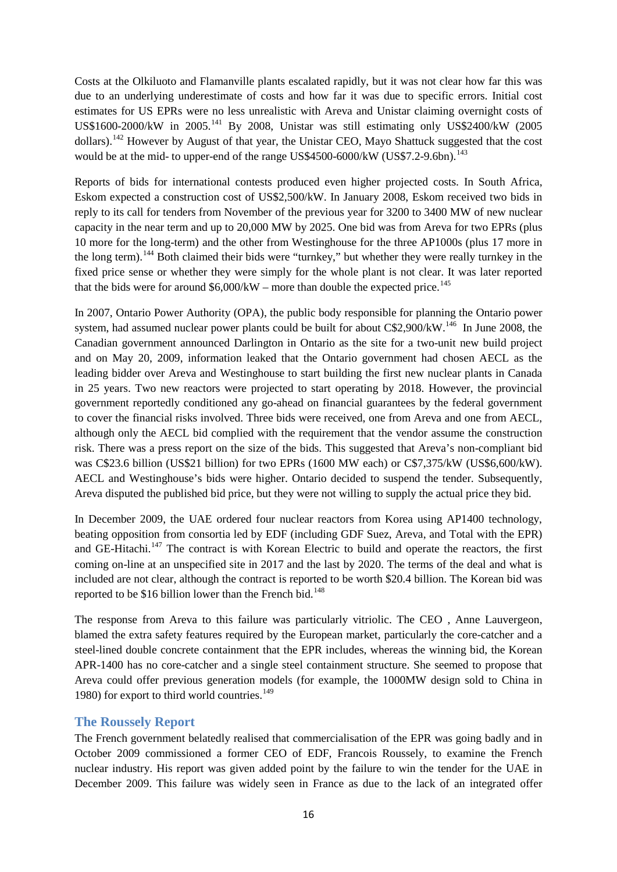Costs at the Olkiluoto and Flamanville plants escalated rapidly, but it was not clear how far this was due to an underlying underestimate of costs and how far it was due to specific errors. Initial cost estimates for US EPRs were no less unrealistic with Areva and Unistar claiming overnight costs of US\$1600-2000/kW in 2005.[141](#page-24-5) By 2008, Unistar was still estimating only US\$2400/kW (2005 dollars).[142](#page-24-6) However by August of that year, the Unistar CEO, Mayo Shattuck suggested that the cost would be at the mid- to upper-end of the range US\$4500-6000/kW (US\$7.2-9.6bn).<sup>[143](#page-24-7)</sup>

Reports of bids for international contests produced even higher projected costs. In South Africa, Eskom expected a construction cost of US\$2,500/kW. In January 2008, Eskom received two bids in reply to its call for tenders from November of the previous year for 3200 to 3400 MW of new nuclear capacity in the near term and up to 20,000 MW by 2025. One bid was from Areva for two EPRs (plus 10 more for the long-term) and the other from Westinghouse for the three AP1000s (plus 17 more in the long term).<sup>[144](#page-24-8)</sup> Both claimed their bids were "turnkey," but whether they were really turnkey in the fixed price sense or whether they were simply for the whole plant is not clear. It was later reported that the bids were for around  $$6,000/kW$  – more than double the expected price.<sup>[145](#page-24-9)</sup>

In 2007, Ontario Power Authority (OPA), the public body responsible for planning the Ontario power system, had assumed nuclear power plants could be built for about C\$2,900/kW.<sup>[146](#page-24-10)</sup> In June 2008, the Canadian government announced Darlington in Ontario as the site for a two-unit new build project and on May 20, 2009, information leaked that the Ontario government had chosen AECL as the leading bidder over Areva and Westinghouse to start building the first new nuclear plants in Canada in 25 years. Two new reactors were projected to start operating by 2018. However, the provincial government reportedly conditioned any go-ahead on financial guarantees by the federal government to cover the financial risks involved. Three bids were received, one from Areva and one from AECL, although only the AECL bid complied with the requirement that the vendor assume the construction risk. There was a press report on the size of the bids. This suggested that Areva's non-compliant bid was C\$23.6 billion (US\$21 billion) for two EPRs (1600 MW each) or C\$7,375/kW (US\$6,600/kW). AECL and Westinghouse's bids were higher. Ontario decided to suspend the tender. Subsequently, Areva disputed the published bid price, but they were not willing to supply the actual price they bid.

In December 2009, the UAE ordered four nuclear reactors from Korea using AP1400 technology, beating opposition from consortia led by EDF (including GDF Suez, Areva, and Total with the EPR) and GE-Hitachi.<sup>[147](#page-24-11)</sup> The contract is with Korean Electric to build and operate the reactors, the first coming on-line at an unspecified site in 2017 and the last by 2020. The terms of the deal and what is included are not clear, although the contract is reported to be worth \$20.4 billion. The Korean bid was reported to be \$16 billion lower than the French bid.<sup>[148](#page-24-12)</sup>

The response from Areva to this failure was particularly vitriolic. The CEO , Anne Lauvergeon, blamed the extra safety features required by the European market, particularly the core-catcher and a steel-lined double concrete containment that the EPR includes, whereas the winning bid, the Korean APR-1400 has no core-catcher and a single steel containment structure. She seemed to propose that Areva could offer previous generation models (for example, the 1000MW design sold to China in 1980) for export to third world countries.<sup>[149](#page-24-13)</sup>

## <span id="page-15-0"></span>**The Roussely Report**

The French government belatedly realised that commercialisation of the EPR was going badly and in October 2009 commissioned a former CEO of EDF, Francois Roussely, to examine the French nuclear industry. His report was given added point by the failure to win the tender for the UAE in December 2009. This failure was widely seen in France as due to the lack of an integrated offer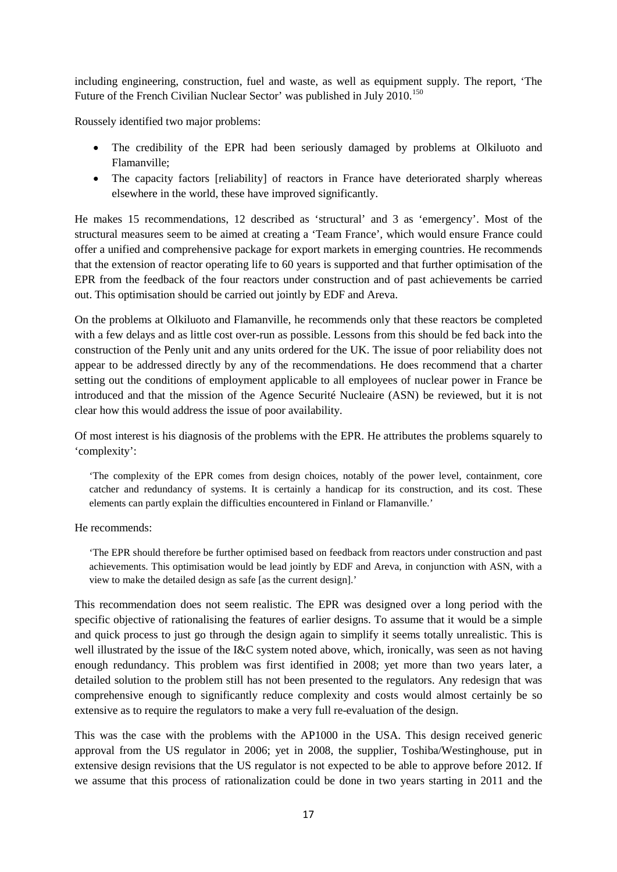including engineering, construction, fuel and waste, as well as equipment supply. The report, 'The Future of the French Civilian Nuclear Sector' was published in July 2010.<sup>[150](#page-24-14)</sup>

Roussely identified two major problems:

- The credibility of the EPR had been seriously damaged by problems at Olkiluoto and Flamanville;
- The capacity factors [reliability] of reactors in France have deteriorated sharply whereas elsewhere in the world, these have improved significantly.

He makes 15 recommendations, 12 described as 'structural' and 3 as 'emergency'. Most of the structural measures seem to be aimed at creating a 'Team France', which would ensure France could offer a unified and comprehensive package for export markets in emerging countries. He recommends that the extension of reactor operating life to 60 years is supported and that further optimisation of the EPR from the feedback of the four reactors under construction and of past achievements be carried out. This optimisation should be carried out jointly by EDF and Areva.

On the problems at Olkiluoto and Flamanville, he recommends only that these reactors be completed with a few delays and as little cost over-run as possible. Lessons from this should be fed back into the construction of the Penly unit and any units ordered for the UK. The issue of poor reliability does not appear to be addressed directly by any of the recommendations. He does recommend that a charter setting out the conditions of employment applicable to all employees of nuclear power in France be introduced and that the mission of the Agence Securité Nucleaire (ASN) be reviewed, but it is not clear how this would address the issue of poor availability.

Of most interest is his diagnosis of the problems with the EPR. He attributes the problems squarely to 'complexity':

'The complexity of the EPR comes from design choices, notably of the power level, containment, core catcher and redundancy of systems. It is certainly a handicap for its construction, and its cost. These elements can partly explain the difficulties encountered in Finland or Flamanville.'

He recommends:

'The EPR should therefore be further optimised based on feedback from reactors under construction and past achievements. This optimisation would be lead jointly by EDF and Areva, in conjunction with ASN, with a view to make the detailed design as safe [as the current design].'

This recommendation does not seem realistic. The EPR was designed over a long period with the specific objective of rationalising the features of earlier designs. To assume that it would be a simple and quick process to just go through the design again to simplify it seems totally unrealistic. This is well illustrated by the issue of the I&C system noted above, which, ironically, was seen as not having enough redundancy. This problem was first identified in 2008; yet more than two years later, a detailed solution to the problem still has not been presented to the regulators. Any redesign that was comprehensive enough to significantly reduce complexity and costs would almost certainly be so extensive as to require the regulators to make a very full re-evaluation of the design.

This was the case with the problems with the AP1000 in the USA. This design received generic approval from the US regulator in 2006; yet in 2008, the supplier, Toshiba/Westinghouse, put in extensive design revisions that the US regulator is not expected to be able to approve before 2012. If we assume that this process of rationalization could be done in two years starting in 2011 and the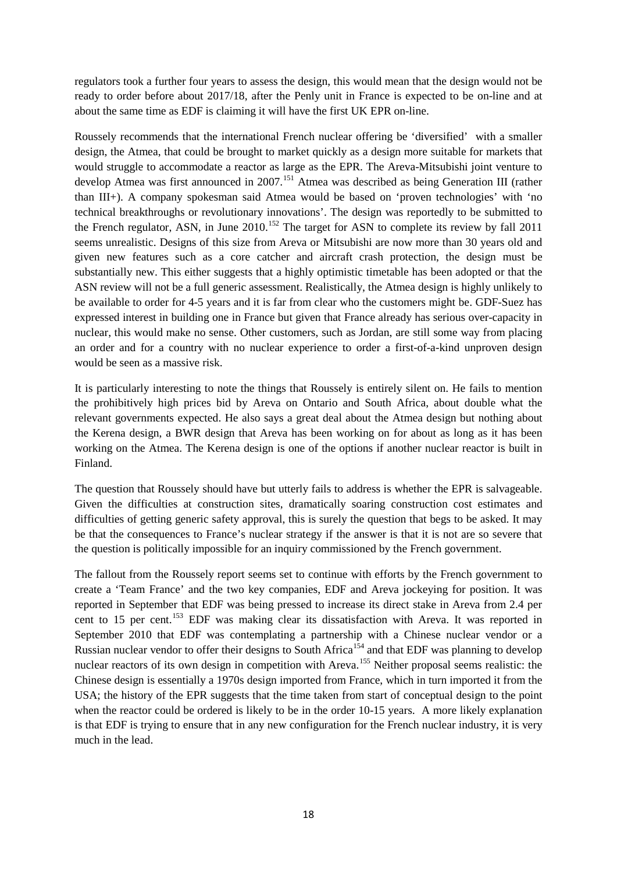regulators took a further four years to assess the design, this would mean that the design would not be ready to order before about 2017/18, after the Penly unit in France is expected to be on-line and at about the same time as EDF is claiming it will have the first UK EPR on-line.

Roussely recommends that the international French nuclear offering be 'diversified' with a smaller design, the Atmea, that could be brought to market quickly as a design more suitable for markets that would struggle to accommodate a reactor as large as the EPR. The Areva-Mitsubishi joint venture to develop Atmea was first announced in 2007.<sup>[151](#page-24-15)</sup> Atmea was described as being Generation III (rather than III+). A company spokesman said Atmea would be based on 'proven technologies' with 'no technical breakthroughs or revolutionary innovations'. The design was reportedly to be submitted to the French regulator, ASN, in June  $2010$ .<sup>[152](#page-24-16)</sup> The target for ASN to complete its review by fall  $2011$ seems unrealistic. Designs of this size from Areva or Mitsubishi are now more than 30 years old and given new features such as a core catcher and aircraft crash protection, the design must be substantially new. This either suggests that a highly optimistic timetable has been adopted or that the ASN review will not be a full generic assessment. Realistically, the Atmea design is highly unlikely to be available to order for 4-5 years and it is far from clear who the customers might be. GDF-Suez has expressed interest in building one in France but given that France already has serious over-capacity in nuclear, this would make no sense. Other customers, such as Jordan, are still some way from placing an order and for a country with no nuclear experience to order a first-of-a-kind unproven design would be seen as a massive risk.

It is particularly interesting to note the things that Roussely is entirely silent on. He fails to mention the prohibitively high prices bid by Areva on Ontario and South Africa, about double what the relevant governments expected. He also says a great deal about the Atmea design but nothing about the Kerena design, a BWR design that Areva has been working on for about as long as it has been working on the Atmea. The Kerena design is one of the options if another nuclear reactor is built in Finland.

The question that Roussely should have but utterly fails to address is whether the EPR is salvageable. Given the difficulties at construction sites, dramatically soaring construction cost estimates and difficulties of getting generic safety approval, this is surely the question that begs to be asked. It may be that the consequences to France's nuclear strategy if the answer is that it is not are so severe that the question is politically impossible for an inquiry commissioned by the French government.

The fallout from the Roussely report seems set to continue with efforts by the French government to create a 'Team France' and the two key companies, EDF and Areva jockeying for position. It was reported in September that EDF was being pressed to increase its direct stake in Areva from 2.4 per cent to 15 per cent.<sup>[153](#page-24-17)</sup> EDF was making clear its dissatisfaction with Areva. It was reported in September 2010 that EDF was contemplating a partnership with a Chinese nuclear vendor or a Russian nuclear vendor to offer their designs to South Africa<sup>[154](#page-24-18)</sup> and that EDF was planning to develop nuclear reactors of its own design in competition with Areva.<sup>[155](#page-24-19)</sup> Neither proposal seems realistic: the Chinese design is essentially a 1970s design imported from France, which in turn imported it from the USA; the history of the EPR suggests that the time taken from start of conceptual design to the point when the reactor could be ordered is likely to be in the order 10-15 years. A more likely explanation is that EDF is trying to ensure that in any new configuration for the French nuclear industry, it is very much in the lead.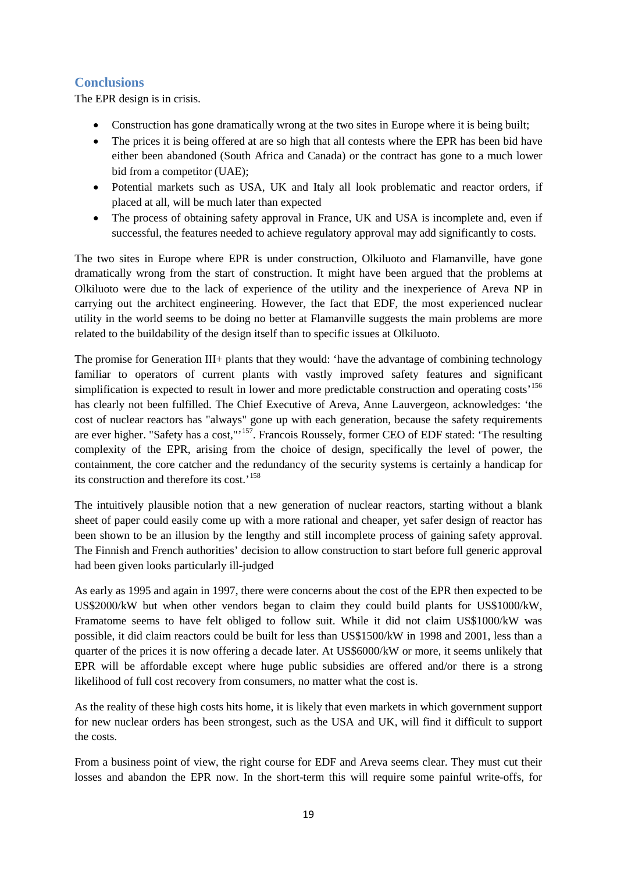## <span id="page-18-0"></span>**Conclusions**

The EPR design is in crisis.

- Construction has gone dramatically wrong at the two sites in Europe where it is being built;
- The prices it is being offered at are so high that all contests where the EPR has been bid have either been abandoned (South Africa and Canada) or the contract has gone to a much lower bid from a competitor (UAE);
- Potential markets such as USA, UK and Italy all look problematic and reactor orders, if placed at all, will be much later than expected
- The process of obtaining safety approval in France, UK and USA is incomplete and, even if successful, the features needed to achieve regulatory approval may add significantly to costs.

The two sites in Europe where EPR is under construction, Olkiluoto and Flamanville, have gone dramatically wrong from the start of construction. It might have been argued that the problems at Olkiluoto were due to the lack of experience of the utility and the inexperience of Areva NP in carrying out the architect engineering. However, the fact that EDF, the most experienced nuclear utility in the world seems to be doing no better at Flamanville suggests the main problems are more related to the buildability of the design itself than to specific issues at Olkiluoto.

The promise for Generation III+ plants that they would: 'have the advantage of combining technology familiar to operators of current plants with vastly improved safety features and significant simplification is expected to result in lower and more predictable construction and operating costs<sup>[156](#page-24-20)</sup> has clearly not been fulfilled. The Chief Executive of Areva, Anne Lauvergeon, acknowledges: 'the cost of nuclear reactors has "always" gone up with each generation, because the safety requirements are ever higher. "Safety has a cost,"<sup>[157](#page-24-21)</sup>. Francois Roussely, former CEO of EDF stated: 'The resulting complexity of the EPR, arising from the choice of design, specifically the level of power, the containment, the core catcher and the redundancy of the security systems is certainly a handicap for its construction and therefore its cost.'[158](#page-24-22)

The intuitively plausible notion that a new generation of nuclear reactors, starting without a blank sheet of paper could easily come up with a more rational and cheaper, yet safer design of reactor has been shown to be an illusion by the lengthy and still incomplete process of gaining safety approval. The Finnish and French authorities' decision to allow construction to start before full generic approval had been given looks particularly ill-judged

As early as 1995 and again in 1997, there were concerns about the cost of the EPR then expected to be US\$2000/kW but when other vendors began to claim they could build plants for US\$1000/kW, Framatome seems to have felt obliged to follow suit. While it did not claim US\$1000/kW was possible, it did claim reactors could be built for less than US\$1500/kW in 1998 and 2001, less than a quarter of the prices it is now offering a decade later. At US\$6000/kW or more, it seems unlikely that EPR will be affordable except where huge public subsidies are offered and/or there is a strong likelihood of full cost recovery from consumers, no matter what the cost is.

As the reality of these high costs hits home, it is likely that even markets in which government support for new nuclear orders has been strongest, such as the USA and UK, will find it difficult to support the costs.

From a business point of view, the right course for EDF and Areva seems clear. They must cut their losses and abandon the EPR now. In the short-term this will require some painful write-offs, for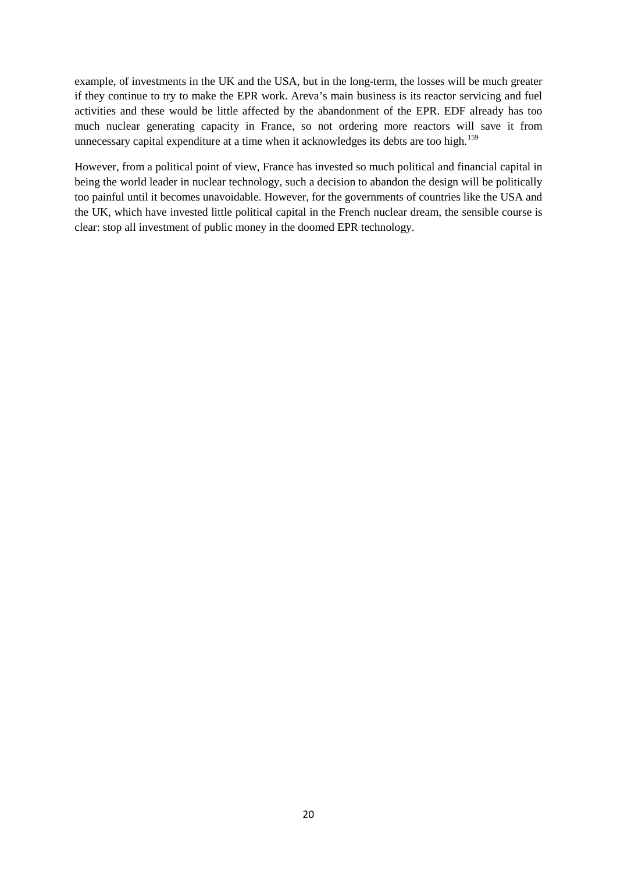example, of investments in the UK and the USA, but in the long-term, the losses will be much greater if they continue to try to make the EPR work. Areva's main business is its reactor servicing and fuel activities and these would be little affected by the abandonment of the EPR. EDF already has too much nuclear generating capacity in France, so not ordering more reactors will save it from unnecessary capital expenditure at a time when it acknowledges its debts are too high.<sup>[159](#page-24-23)</sup>

However, from a political point of view, France has invested so much political and financial capital in being the world leader in nuclear technology, such a decision to abandon the design will be politically too painful until it becomes unavoidable. However, for the governments of countries like the USA and the UK, which have invested little political capital in the French nuclear dream, the sensible course is clear: stop all investment of public money in the doomed EPR technology.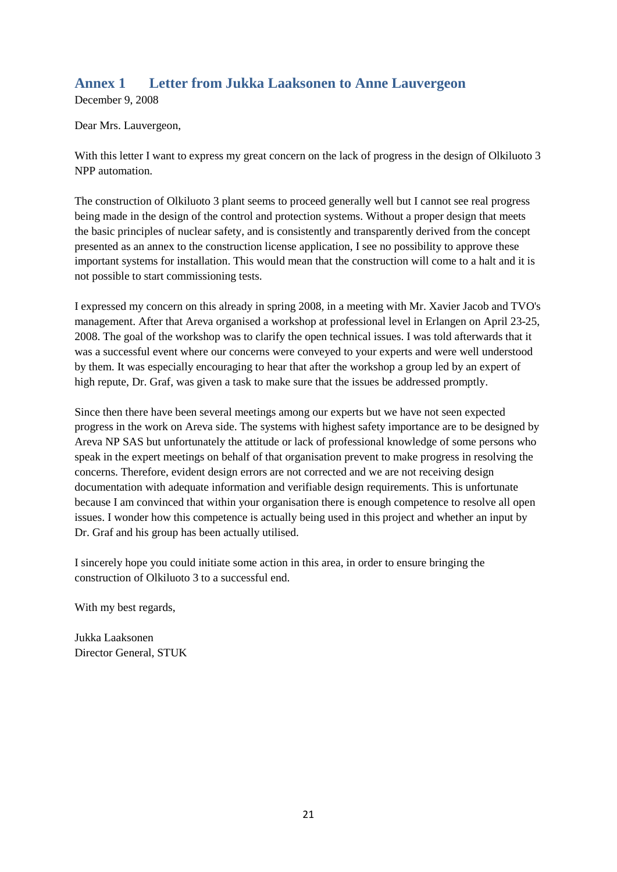## <span id="page-20-0"></span>**Annex 1 Letter from Jukka Laaksonen to Anne Lauvergeon**

December 9, 2008

Dear Mrs. Lauvergeon,

With this letter I want to express my great concern on the lack of progress in the design of Olkiluoto 3 NPP automation.

The construction of Olkiluoto 3 plant seems to proceed generally well but I cannot see real progress being made in the design of the control and protection systems. Without a proper design that meets the basic principles of nuclear safety, and is consistently and transparently derived from the concept presented as an annex to the construction license application, I see no possibility to approve these important systems for installation. This would mean that the construction will come to a halt and it is not possible to start commissioning tests.

I expressed my concern on this already in spring 2008, in a meeting with Mr. Xavier Jacob and TVO's management. After that Areva organised a workshop at professional level in Erlangen on April 23-25, 2008. The goal of the workshop was to clarify the open technical issues. I was told afterwards that it was a successful event where our concerns were conveyed to your experts and were well understood by them. It was especially encouraging to hear that after the workshop a group led by an expert of high repute, Dr. Graf, was given a task to make sure that the issues be addressed promptly.

Since then there have been several meetings among our experts but we have not seen expected progress in the work on Areva side. The systems with highest safety importance are to be designed by Areva NP SAS but unfortunately the attitude or lack of professional knowledge of some persons who speak in the expert meetings on behalf of that organisation prevent to make progress in resolving the concerns. Therefore, evident design errors are not corrected and we are not receiving design documentation with adequate information and verifiable design requirements. This is unfortunate because I am convinced that within your organisation there is enough competence to resolve all open issues. I wonder how this competence is actually being used in this project and whether an input by Dr. Graf and his group has been actually utilised.

I sincerely hope you could initiate some action in this area, in order to ensure bringing the construction of Olkiluoto 3 to a successful end.

With my best regards,

Jukka Laaksonen Director General, STUK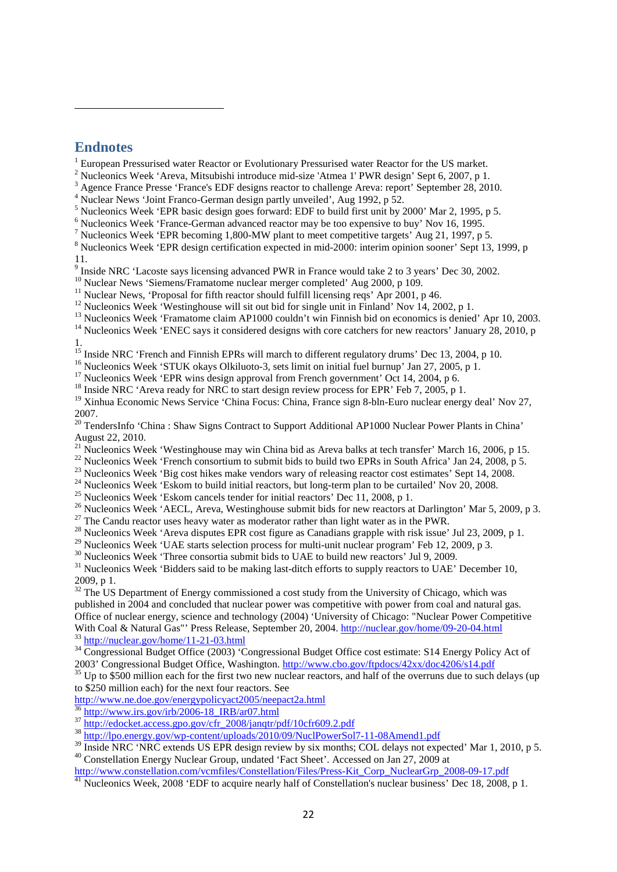## <span id="page-21-0"></span>**Endnotes**

**.** 

European Pressurised water Reactor or Evolutionary Pressurised water Reactor for the US market.<br>Nucleonics Week 'Areva, Mitsubishi introduce mid-size 'Atmea 1' PWR design' Sept 6, 2007, p 1.

<span id="page-21-3"></span><span id="page-21-2"></span><span id="page-21-1"></span><sup>3</sup> Agence France Presse 'France's EDF designs reactor to challenge Areva: report' September 28, 2010.<br><sup>4</sup> Nuclear News 'Joint Franco-German design partly unveiled', Aug 1992, p 52.<br><sup>5</sup> Nucleonics Week 'EPR basic design g

<span id="page-21-4"></span>

<span id="page-21-6"></span><span id="page-21-5"></span> $\frac{7}{8}$  Nucleonics Week 'EPR becoming 1,800-MW plant to meet competitive targets' Aug 21, 1997, p 5.<br><sup>8</sup> Nucleonics Week 'EPR design certification expected in mid-2000: interim opinion sooner' Sept 13, 1999, p

<span id="page-21-7"></span>11.<br><sup>9</sup> Inside NRC 'Lacoste says licensing advanced PWR in France would take 2 to 3 years' Dec 30, 2002.

<span id="page-21-10"></span>

<span id="page-21-13"></span><span id="page-21-12"></span><span id="page-21-11"></span>

<span id="page-21-9"></span><span id="page-21-8"></span><sup>10</sup> Nuclear News 'Siemens/Framatome nuclear merger completed' Aug 2000, p 109.<br><sup>11</sup> Nuclear News, 'Proposal for fifth reactor should fulfill licensing reqs' Apr 2001, p 46.<br><sup>12</sup> Nucleonics Week 'Westinghouse will sit out

<sup>15</sup> Inside NRC 'French and Finnish EPRs will march to different regulatory drums' Dec 13, 2004, p 10.

<span id="page-21-15"></span><span id="page-21-14"></span><sup>16</sup> Nucleonics Week 'STUK okays Olkiluoto-3, sets limit on initial fuel burnup' Jan 27, 2005, p 1.<br><sup>17</sup> Nucleonics Week 'EPR wins design approval from French government' Oct 14, 2004, p 6.<br><sup>18</sup> Inside NRC 'Areva ready fo

<span id="page-21-16"></span>

<span id="page-21-18"></span><span id="page-21-17"></span><sup>19</sup> Xinhua Economic News Service 'China Focus: China, France sign 8-bln-Euro nuclear energy deal' Nov 27, 2007.

<span id="page-21-19"></span><sup>20</sup> TendersInfo 'China : Shaw Signs Contract to Support Additional AP1000 Nuclear Power Plants in China' August 22, 2010.<br><sup>21</sup> Nucleonics Week 'Westinghouse may win China bid as Areva balks at tech transfer' March 16, 2006, p 15.

<span id="page-21-22"></span><span id="page-21-21"></span>

<span id="page-21-23"></span>

<span id="page-21-25"></span><span id="page-21-24"></span>

<span id="page-21-20"></span><sup>22</sup> Nucleonics Week 'French consortium to submit bids to build two EPRs in South Africa' Jan 24, 2008, p 5.<br><sup>23</sup> Nucleonics Week 'Big cost hikes make vendors wary of releasing reactor cost estimates' Sept 14, 2008.<br><sup>24</sup>

<span id="page-21-26"></span>

<span id="page-21-27"></span>

<span id="page-21-30"></span><span id="page-21-29"></span><span id="page-21-28"></span><sup>30</sup> Nucleonics Week 'Three consortia submit bids to UAE to build new reactors' Jul 9, 2009.<br><sup>31</sup> Nucleonics Week 'Bidders said to be making last-ditch efforts to supply reactors to UAE' December 10, 2009, p 1.

<span id="page-21-31"></span><sup>32</sup> The US Department of Energy commissioned a cost study from the University of Chicago, which was published in 2004 and concluded that nuclear power was competitive with power from coal and natural gas. Office of nuclear energy, science and technology (2004) 'University of Chicago: "Nuclear Power Competitive With Coal & Natural Gas"' Press Release, September 20, 2004.<http://nuclear.gov/home/09-20-04.html><br>
<sup>33</sup> <http://nuclear.gov/home/11-21-03.html><br>
<sup>34</sup> Congressional Budget Office (2003) 'Congressional Budget Office cost esti

<span id="page-21-33"></span><span id="page-21-32"></span>

<span id="page-21-34"></span> $^{35}$  Up to \$500 million each for the first two new nuclear reactors, and half of the overruns due to such delays (up to \$250 million each) for the next four reactors. See

<http://www.ne.doe.gov/energypolicyact2005/neepact2a.html><br> $\frac{36 \text{ http://www.irs.gov/irb/2006-18\_IRB/ar07.html}}{36 \text{ http://www.irs.gov/irb/2006-18\_IRB/ar07.html}}$ 

<span id="page-21-37"></span><span id="page-21-36"></span><span id="page-21-35"></span> $\frac{\text{http://edocket.access.gpo.gov/cfr 2008/jangatr/pdf/10cfr609.2.pdf}}{\text{http://lo.energy.gov/wp-content/uploads/2010/09/NucIPowerSol7-11-08Amend1.pdf}}$ <br>
38 <http://lpo.energy.gov/wp-content/uploads/2010/09/NuclPowerSol7-11-08Amend1.pdf><br>
39 Inside NRC 'NRC extends US EPR design review by s <sup>40</sup> Constellation Energy Nuclear Group, undated 'Fact Sheet'. Accessed on Jan 27, 2009 at

<span id="page-21-40"></span><span id="page-21-39"></span><span id="page-21-38"></span>[http://www.constellation.com/vcmfiles/Constellation/Files/Press-Kit\\_Corp\\_NuclearGrp\\_2008-09-17.pdf](http://www.constellation.com/vcmfiles/Constellation/Files/Press-Kit_Corp_NuclearGrp_2008-09-17.pdf) 41 Nucleonics Week, 2008 'EDF to acquire nearly half of Constellation's nuclear business' Dec 18, 2008, p 1.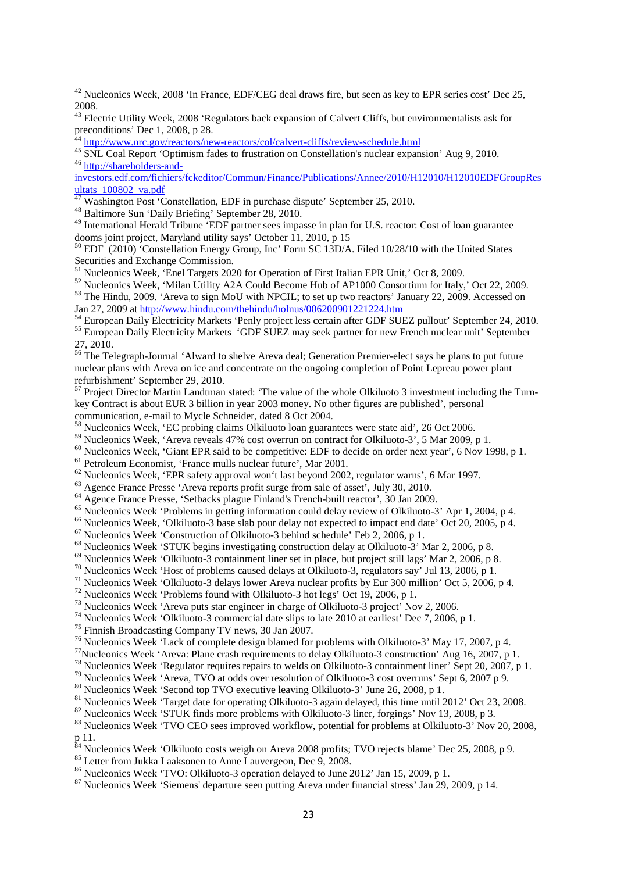<span id="page-22-0"></span><sup>42</sup> Nucleonics Week, 2008 'In France, EDF/CEG deal draws fire, but seen as key to EPR series cost' Dec 25, 2008.

<span id="page-22-1"></span><sup>43</sup> Electric Utility Week, 2008 'Regulators back expansion of Calvert Cliffs, but environmentalists ask for preconditions' Dec 1, 2008, p 28.

<span id="page-22-3"></span><span id="page-22-2"></span>44 <http://www.nrc.gov/reactors/new-reactors/col/calvert-cliffs/review-schedule.html><br>
45 SNL Coal Report 'Optimism fades to frustration on Constellation's nuclear expansion' Aug 9, 2010.<br>
<sup>46</sup> [http://shareholders-and-](http://shareholders-and-investors.edf.com/fichiers/fckeditor/Commun/Finance/Publications/Annee/2010/H12010/H12010EDFGroupResultats_100802_va.pdf)

<span id="page-22-4"></span>[investors.edf.com/fichiers/fckeditor/Commun/Finance/Publications/Annee/2010/H12010/H12010EDFGroupRes](http://shareholders-and-investors.edf.com/fichiers/fckeditor/Commun/Finance/Publications/Annee/2010/H12010/H12010EDFGroupResultats_100802_va.pdf)  $\frac{\text{ultats}}{47}$  Washington Post 'Constellation, EDF in purchase dispute' September 25, 2010.

<span id="page-22-6"></span><span id="page-22-5"></span><sup>48</sup> Baltimore Sun 'Daily Briefing' September 28, 2010.

<span id="page-22-7"></span><sup>49</sup> International Herald Tribune 'EDF partner sees impasse in plan for U.S. reactor: Cost of loan guarantee dooms joint project, Maryland utility says' October 11, 2010, p 15

<span id="page-22-8"></span><sup>50</sup> EDF (2010) 'Constellation Energy Group, Inc' Form SC 13D/A. Filed 10/28/10 with the United States Securities and Exchange Commission.<br><sup>51</sup> Nucleonics Week, 'Enel Targets 2020 for Operation of First Italian EPR Unit,' Oct 8, 2009.

<span id="page-22-10"></span><span id="page-22-9"></span><sup>52</sup> Nucleonics Week, 'Milan Utility A2A Could Become Hub of AP1000 Consortium for Italy,' Oct 22, 2009.<br><sup>53</sup> The Hindu, 2009. 'Areva to sign MoU with NPCIL; to set up two reactors' January 22, 2009. Accessed on

<span id="page-22-12"></span><span id="page-22-11"></span>Jan 27, 2009 at http://www.hindu.com/thehindu/holnus/006200901221224.htm<br>
<sup>54</sup> European Daily Electricity Markets 'Penly project less certain after GDF SUEZ pullout' September 24, 2010.<br>
<sup>55</sup> European Daily Electricity Mar 27, 2010.

<span id="page-22-14"></span><span id="page-22-13"></span><sup>56</sup> The Telegraph-Journal 'Alward to shelve Areva deal; Generation Premier-elect says he plans to put future nuclear plans with Areva on ice and concentrate on the ongoing completion of Point Lepreau power plant refurbishment' September 29, 2010.

<span id="page-22-15"></span><sup>57</sup> Project Director Martin Landtman stated: 'The value of the whole Olkiluoto 3 investment including the Turnkey Contract is about EUR 3 billion in year 2003 money. No other figures are published', personal communication, e-mail to Mycle Schneider, dated 8 Oct 2004.<br><sup>58</sup> Nucleonics Week, 'EC probing claims Olkiluoto loan guarantees were state aid', 26 Oct 2006.<br><sup>59</sup> Nucleonics Week, 'Areva reveals 47% cost overrun on contract

<span id="page-22-16"></span>

<span id="page-22-17"></span>

<span id="page-22-18"></span>

<span id="page-22-19"></span>

<span id="page-22-20"></span>

<span id="page-22-21"></span>

<span id="page-22-22"></span>

<span id="page-22-23"></span>

<span id="page-22-25"></span><span id="page-22-24"></span>

<span id="page-22-26"></span>

<span id="page-22-27"></span>

<span id="page-22-28"></span>

<span id="page-22-30"></span><span id="page-22-29"></span>

<span id="page-22-31"></span>

<span id="page-22-32"></span>

<span id="page-22-33"></span>

<span id="page-22-34"></span>

<span id="page-22-35"></span>

<span id="page-22-38"></span><span id="page-22-37"></span><span id="page-22-36"></span>

<span id="page-22-39"></span>

<span id="page-22-41"></span><span id="page-22-40"></span>

<sup>59</sup> Nucleonics Week, 'Areva reveals 47% cost overrun on contract for Olkiluoto-3', 5 Mar 2009, p 1.<br><sup>69</sup> Nucleonics Week, 'Giant EPR said to be competitive: EDF to decide on order next year', 6 Nov 1998, p 1.<br><sup>61</sup> Nucleon p 11.

<span id="page-22-42"></span><sup>84</sup> Nucleonics Week 'Olkiluoto costs weigh on Areva 2008 profits; TVO rejects blame' Dec 25, 2008, p 9.<br><sup>85</sup> Letter from Jukka Laaksonen to Anne Lauvergeon, Dec 9, 2008.<br><sup>86</sup> Nucleonics Week 'TVO: Olkiluoto-3 operation de

<span id="page-22-43"></span>

<span id="page-22-44"></span>

<span id="page-22-45"></span>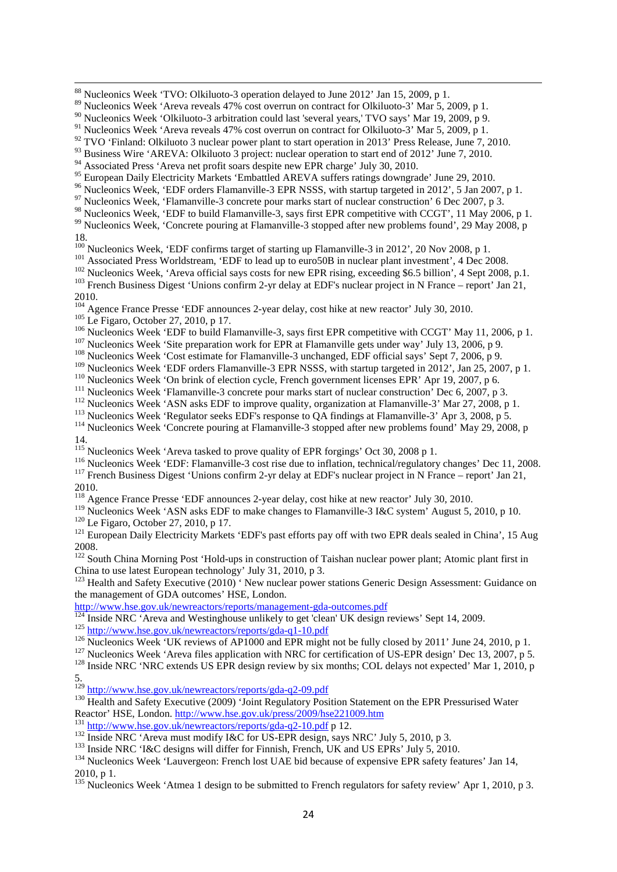<span id="page-23-14"></span>

- <span id="page-23-15"></span>2010.<br><sup>104</sup> Agence France Presse 'EDF announces 2-year delay, cost hike at new reactor' July 30, 2010.
- 
- <span id="page-23-18"></span><span id="page-23-17"></span><span id="page-23-16"></span><sup>105</sup> Le Figaro, October 27, 2010, p 17.<br><sup>106</sup> Nucleonics Week 'EDF to build Flamanville-3, says first EPR competitive with CCGT' May 11, 2006, p 1.<br><sup>106</sup> Nucleonics Week 'EDF to build Flamanville-3, says first EPR compet
- <span id="page-23-19"></span>
- <span id="page-23-20"></span>
- 
- 
- <span id="page-23-25"></span><span id="page-23-24"></span><span id="page-23-23"></span><span id="page-23-22"></span>
- <span id="page-23-21"></span><sup>110</sup> Nucleonics Week 'On brink of election cycle, French government licenses EPR' Apr 19, 2007, p 6.<br><sup>111</sup> Nucleonics Week 'Flamanville-3 concrete pour marks start of nuclear construction' Dec 6, 2007, p 3.<br><sup>112</sup> Nucleon
- 
- <span id="page-23-26"></span>

- <span id="page-23-27"></span><sup>115</sup> Nucleonics Week 'Areva tasked to prove quality of EPR forgings' Oct 30, 2008 p 1.
- <span id="page-23-28"></span><sup>116</sup> Nucleonics Week 'EDF: Flamanville-3 cost rise due to inflation, technical/regulatory changes' Dec 11, 2008.<br><sup>117</sup> French Business Digest 'Unions confirm 2-yr delay at EDF's nuclear project in N France – report' Jan 2

<span id="page-23-29"></span>2010.

- <sup>118</sup> Agence France Presse 'EDF announces 2-year delay, cost hike at new reactor' July 30, 2010.
- <span id="page-23-31"></span><span id="page-23-30"></span><sup>119</sup> Nucleonics Week 'ASN asks EDF to make changes to Flamanville-3 I&C system' August 5, 2010, p 10.<br><sup>120</sup> Le Figaro, October 27, 2010, p 17.<br><sup>121</sup> European Daily Electricity Markets 'EDF's past efforts pay off with two
- 

<span id="page-23-34"></span><sup>122</sup> South China Morning Post 'Hold-ups in construction of Taishan nuclear power plant; Atomic plant first in China to use latest European technology' July 31, 2010, p 3.

<span id="page-23-35"></span><sup>123</sup> Health and Safety Executive (2010) 'New nuclear power stations Generic Design Assessment: Guidance on the management of GDA outcomes' HSE, London.<br>
http://www.hse.gov.uk/newreactors/reports/management-gda-outcomes.pdf<br>
<sup>124</sup> Inside NRC 'Areva and Westinghouse unlikely to get 'clean' UK design reviews' Sept 14, 2009.

- 
- 
- <span id="page-23-38"></span><span id="page-23-37"></span><span id="page-23-36"></span><sup>125</sup> <http://www.hse.gov.uk/newreactors/reports/gda-q1-10.pdf><br><sup>126</sup> Nucleonics Week 'UK reviews of AP1000 and EPR might not be fully closed by 2011' June 24, 2010, p 1.<br><sup>127</sup> Nucleonics Week 'Areva files application with N

<span id="page-23-40"></span><span id="page-23-39"></span>

5.

<span id="page-23-42"></span><span id="page-23-41"></span><sup>129</sup> <http://www.hse.gov.uk/newreactors/reports/gda-q2-09.pdf><br><sup>130</sup> Health and Safety Executive (2009) 'Joint Regulatory Position Statement on the EPR Pressurised Water

<span id="page-23-44"></span><span id="page-23-43"></span><sup>131</sup> <http://www.hse.gov.uk/newreactors/reports/gda-q2-10.pdf> p 12.<br><sup>132</sup> Inside NRC 'Areva must modify I&C for US-EPR design, says NRC' July 5, 2010, p 3.<br><sup>133</sup> Inside NRC 'I&C designs will differ for Finnish, French, UK

<span id="page-23-46"></span><span id="page-23-45"></span>2010, p 1.<br><sup>135</sup> Nucleonics Week 'Atmea 1 design to be submitted to French regulators for safety review' Apr 1, 2010, p 3.

<span id="page-23-47"></span>

<span id="page-23-0"></span><sup>88</sup> Nucleonics Week 'TVO: Olkiluoto-3 operation delayed to June 2012' Jan 15, 2009, p 1.

<span id="page-23-1"></span><sup>&</sup>lt;sup>89</sup> Nucleonics Week 'Areva reveals 47% cost overrun on contract for Olkiluoto-3' Mar 5, 2009, p 1.

<span id="page-23-2"></span><sup>90</sup> Nucleonics Week 'Olkiluoto-3 arbitration could last 'several years,' TVO says' Mar 19, 2009, p 9.

<span id="page-23-3"></span><sup>&</sup>lt;sup>91</sup> Nucleonics Week 'Areva reveals 47% cost overrun on contract for Olkiluoto-3' Mar 5, 2009, p 1.

<span id="page-23-4"></span> $92$  TVO 'Finland: Olkiluoto 3 nuclear power plant to start operation in 2013' Press Release, June 7, 2010.

<span id="page-23-5"></span><sup>&</sup>lt;sup>93</sup> Business Wire 'AREVA: Olkiluoto 3 project: nuclear operation to start end of 2012' June 7, 2010.

<span id="page-23-6"></span><sup>94&</sup>lt;br>Associated Press 'Areva net profit soars despite new EPR charge' July 30, 2010.<br><sup>95</sup> European Daily Electricity Markets 'Embattled AREVA suffers ratings downgrade' June 29, 2010.

<span id="page-23-9"></span><span id="page-23-8"></span><span id="page-23-7"></span><sup>&</sup>lt;sup>96</sup><br><sup>96</sup> Nucleonics Week, 'EDF orders Flamanville-3 EPR NSSS, with startup targeted in 2012', 5 Jan 2007, p 1.<br><sup>97</sup> Nucleonics Week, 'Flamanville-3 concrete pour marks start of nuclear construction' 6 Dec 2007, p 3.<br><sup>98</sup>

<span id="page-23-11"></span><span id="page-23-10"></span><sup>&</sup>lt;sup>99</sup> Nucleonics Week, 'Concrete pouring at Flamanville-3 stopped after new problems found', 29 May 2008, p 18.<br>
<sup>100</sup> Nucleonics Week, 'EDF confirms target of starting up Flamanville-3 in 2012', 20 Nov 2008, p 1.<br>
100 SOP in mucleon plant investment' 4 Dec 20

<span id="page-23-13"></span><span id="page-23-12"></span><sup>&</sup>lt;sup>101</sup> Associated Press Worldstream, 'EDF to lead up to euro50B in nuclear plant investment', 4 Dec 2008.<br><sup>102</sup> Nucleonics Week, 'Areva official says costs for new EPR rising, exceeding \$6.5 billion', 4 Sept 2008, p.1.<br><sup>10</sup>

<span id="page-23-33"></span><span id="page-23-32"></span><sup>2008.</sup>